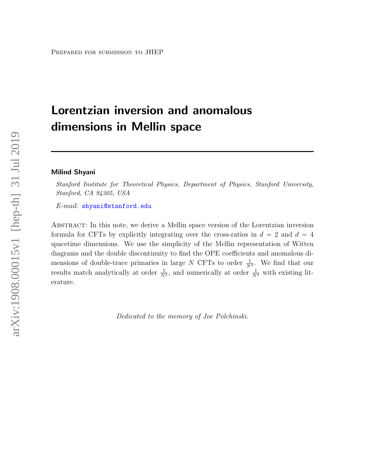# Lorentzian inversion and anomalous dimensions in Mellin space

#### Milind Shyani

Stanford Institute for Theoretical Physics, Department of Physics, Stanford University, Stanford, CA 94305, USA

E-mail: [shyani@stanford.edu](mailto:shyani@stanford.edu)

Abstract: In this note, we derive a Mellin space version of the Lorentzian inversion formula for CFTs by explicitly integrating over the cross-ratios in  $d = 2$  and  $d = 4$ spacetime dimensions. We use the simplicity of the Mellin representation of Witten diagrams and the double discontinuity to find the OPE coefficients and anomalous dimensions of double-trace primaries in large N CFTs to order  $\frac{1}{N^4}$ . We find that our results match analytically at order  $\frac{1}{N^2}$ , and numerically at order  $\frac{1}{N^4}$  with existing literature.

Dedicated to the memory of Joe Polchinski.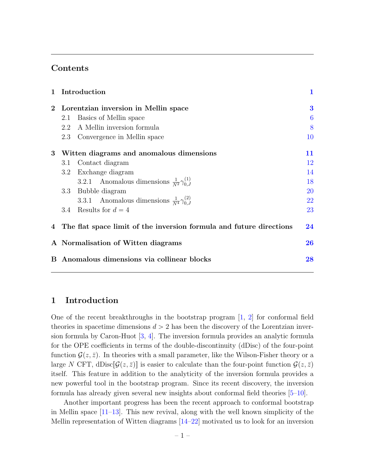# Contents

| $\mathbf{1}$    | Introduction<br>Lorentzian inversion in Mellin space |                                                                       | 1         |  |
|-----------------|------------------------------------------------------|-----------------------------------------------------------------------|-----------|--|
| $2^{\circ}$     |                                                      |                                                                       | 3         |  |
|                 | 2.1                                                  | Basics of Mellin space                                                | 6         |  |
|                 |                                                      | 2.2 A Mellin inversion formula                                        | 8         |  |
|                 |                                                      | 2.3 Convergence in Mellin space                                       | 10        |  |
| $3\phantom{.0}$ | Witten diagrams and anomalous dimensions             |                                                                       | 11        |  |
|                 | 3.1                                                  | Contact diagram                                                       | 12        |  |
|                 |                                                      | 3.2 Exchange diagram                                                  | 14        |  |
|                 |                                                      | 3.2.1 Anomalous dimensions $\frac{1}{N^2} \gamma_{0,I}^{(1)}$         | 18        |  |
|                 |                                                      | 3.3 Bubble diagram                                                    | <b>20</b> |  |
|                 |                                                      | 3.3.1 Anomalous dimensions $\frac{1}{N^4} \gamma_{0,J}^{(2)}$         | 22        |  |
|                 |                                                      | 3.4 Results for $d = 4$                                               | 23        |  |
|                 |                                                      | 4 The flat space limit of the inversion formula and future directions | 24        |  |
|                 | A Normalisation of Witten diagrams                   |                                                                       | 26        |  |
| $\bf{B}$        |                                                      | Anomalous dimensions via collinear blocks                             | 28        |  |

# <span id="page-1-0"></span>1 Introduction

One of the recent breakthroughs in the bootstrap program  $\left[1, 2\right]$  for conformal field theories in spacetime dimensions  $d > 2$  has been the discovery of the Lorentzian inversion formula by Caron-Huot [\[3,](#page-31-1) [4\]](#page-31-2). The inversion formula provides an analytic formula for the OPE coefficients in terms of the double-discontinuity (dDisc) of the four-point function  $\mathcal{G}(z,\bar{z})$ . In theories with a small parameter, like the Wilson-Fisher theory or a large N CFT, dDisc $|\mathcal{G}(z,\bar{z})|$  is easier to calculate than the four-point function  $\mathcal{G}(z,\bar{z})$ itself. This feature in addition to the analyticity of the inversion formula provides a new powerful tool in the bootstrap program. Since its recent discovery, the inversion formula has already given several new insights about conformal field theories [\[5](#page-31-3)[–10\]](#page-31-4).

Another important progress has been the recent approach to conformal bootstrap in Mellin space [\[11–](#page-31-5)[13\]](#page-31-6). This new revival, along with the well known simplicity of the Mellin representation of Witten diagrams [\[14–](#page-31-7)[22\]](#page-32-0) motivated us to look for an inversion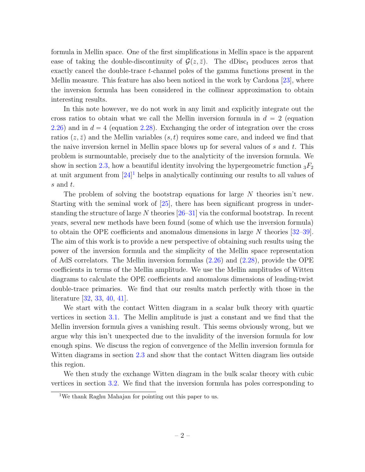formula in Mellin space. One of the first simplifications in Mellin space is the apparent ease of taking the double-discontinuity of  $\mathcal{G}(z,\bar{z})$ . The dDisc<sub>t</sub> produces zeros that exactly cancel the double-trace t-channel poles of the gamma functions present in the Mellin measure. This feature has also been noticed in the work by Cardona [\[23\]](#page-32-1), where the inversion formula has been considered in the collinear approximation to obtain interesting results.

In this note however, we do not work in any limit and explicitly integrate out the cross ratios to obtain what we call the Mellin inversion formula in  $d = 2$  (equation [2.26\)](#page-9-0) and in  $d = 4$  (equation [2.28\)](#page-9-1). Exchanging the order of integration over the cross ratios  $(z, \bar{z})$  and the Mellin variables  $(s, t)$  requires some care, and indeed we find that the naive inversion kernel in Mellin space blows up for several values of  $s$  and  $t$ . This problem is surmountable, precisely due to the analyticity of the inversion formula. We show in section [2.3,](#page-10-0) how a beautiful identity involving the hypergeometric function  ${}_{3}F_2$ at unit argument from  $[24]$ <sup>[1](#page-2-0)</sup> helps in analytically continuing our results to all values of s and t.

The problem of solving the bootstrap equations for large  $N$  theories isn't new. Starting with the seminal work of [\[25\]](#page-32-3), there has been significant progress in understanding the structure of large  $N$  theories  $[26-31]$  $[26-31]$  via the conformal bootstrap. In recent years, several new methods have been found (some of which use the inversion formula) to obtain the OPE coefficients and anomalous dimensions in large N theories [\[32](#page-32-6)[–39\]](#page-33-0). The aim of this work is to provide a new perspective of obtaining such results using the power of the inversion formula and the simplicity of the Mellin space representation of AdS correlators. The Mellin inversion formulas [\(2.26\)](#page-9-0) and [\(2.28\)](#page-9-1), provide the OPE coefficients in terms of the Mellin amplitude. We use the Mellin amplitudes of Witten diagrams to calculate the OPE coefficients and anomalous dimensions of leading-twist double-trace primaries. We find that our results match perfectly with those in the literature [\[32,](#page-32-6) [33,](#page-32-7) [40,](#page-33-1) [41\]](#page-33-2).

We start with the contact Witten diagram in a scalar bulk theory with quartic vertices in section [3.1.](#page-12-0) The Mellin amplitude is just a constant and we find that the Mellin inversion formula gives a vanishing result. This seems obviously wrong, but we argue why this isn't unexpected due to the invalidity of the inversion formula for low enough spins. We discuss the region of convergence of the Mellin inversion formula for Witten diagrams in section [2.3](#page-10-0) and show that the contact Witten diagram lies outside this region.

We then study the exchange Witten diagram in the bulk scalar theory with cubic vertices in section [3.2.](#page-14-0) We find that the inversion formula has poles corresponding to

<span id="page-2-0"></span><sup>1</sup>We thank Raghu Mahajan for pointing out this paper to us.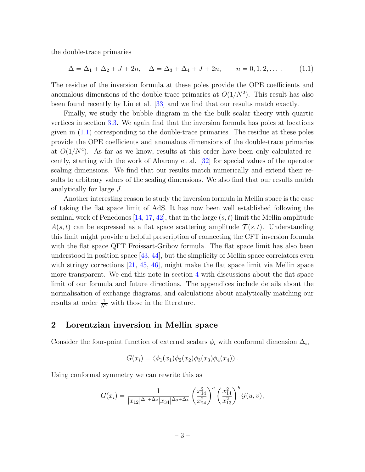the double-trace primaries

<span id="page-3-1"></span>
$$
\Delta = \Delta_1 + \Delta_2 + J + 2n, \quad \Delta = \Delta_3 + \Delta_4 + J + 2n, \qquad n = 0, 1, 2, \dots \tag{1.1}
$$

The residue of the inversion formula at these poles provide the OPE coefficients and anomalous dimensions of the double-trace primaries at  $O(1/N^2)$ . This result has also been found recently by Liu et al. [\[33\]](#page-32-7) and we find that our results match exactly.

Finally, we study the bubble diagram in the the bulk scalar theory with quartic vertices in section [3.3.](#page-20-0) We again find that the inversion formula has poles at locations given in [\(1.1\)](#page-3-1) corresponding to the double-trace primaries. The residue at these poles provide the OPE coefficients and anomalous dimensions of the double-trace primaries at  $O(1/N<sup>4</sup>)$ . As far as we know, results at this order have been only calculated recently, starting with the work of Aharony et al. [\[32\]](#page-32-6) for special values of the operator scaling dimensions. We find that our results match numerically and extend their results to arbitrary values of the scaling dimensions. We also find that our results match analytically for large J.

Another interesting reason to study the inversion formula in Mellin space is the ease of taking the flat space limit of AdS. It has now been well established following the seminal work of Penedones [\[14,](#page-31-7) [17,](#page-31-8) [42\]](#page-33-3), that in the large  $(s, t)$  limit the Mellin amplitude  $A(s,t)$  can be expressed as a flat space scattering amplitude  $\mathcal{T}(s,t)$ . Understanding this limit might provide a helpful prescription of connecting the CFT inversion formula with the flat space QFT Froissart-Gribov formula. The flat space limit has also been understood in position space  $[43, 44]$  $[43, 44]$ , but the simplicity of Mellin space correlators even with stringy corrections [\[21,](#page-32-8) [45,](#page-33-6) [46\]](#page-33-7), might make the flat space limit via Mellin space more transparent. We end this note in section [4](#page-24-0) with discussions about the flat space limit of our formula and future directions. The appendices include details about the normalisation of exchange diagrams, and calculations about analytically matching our results at order  $\frac{1}{N^2}$  with those in the literature.

# <span id="page-3-0"></span>2 Lorentzian inversion in Mellin space

Consider the four-point function of external scalars  $\phi_i$  with conformal dimension  $\Delta_i$ ,

$$
G(x_i) = \langle \phi_1(x_1)\phi_2(x_2)\phi_3(x_3)\phi_4(x_4) \rangle.
$$

Using conformal symmetry we can rewrite this as

$$
G(x_i) = \frac{1}{|x_{12}|^{\Delta_1 + \Delta_2} |x_{34}|^{\Delta_3 + \Delta_4}} \left(\frac{x_{14}^2}{x_{24}^2}\right)^a \left(\frac{x_{14}^2}{x_{13}^2}\right)^b \mathcal{G}(u, v),
$$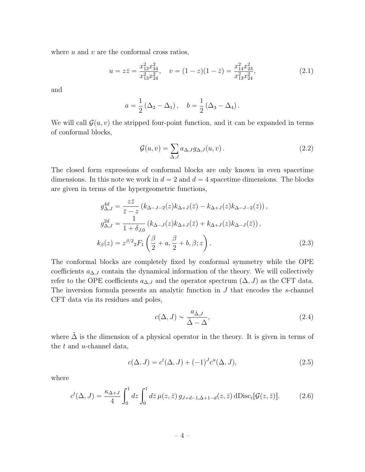where  $u$  and  $v$  are the conformal cross ratios,

$$
u = z\bar{z} = \frac{x_{12}^2 x_{34}^2}{x_{13}^2 x_{24}^2}, \quad v = (1 - z)(1 - \bar{z}) = \frac{x_{14}^2 x_{23}^2}{x_{13}^2 x_{24}^2},\tag{2.1}
$$

and

$$
a = \frac{1}{2} (\Delta_2 - \Delta_1), \quad b = \frac{1}{2} (\Delta_3 - \Delta_4).
$$

We will call  $\mathcal{G}(u, v)$  the stripped four-point function, and it can be expanded in terms of conformal blocks,

$$
\mathcal{G}(u,v) = \sum_{\Delta,J} a_{\Delta,J} g_{\Delta,J}(u,v) \,. \tag{2.2}
$$

The closed form expressions of conformal blocks are only known in even spacetime dimensions. In this note we work in  $d = 2$  and  $d = 4$  spacetime dimensions. The blocks are given in terms of the hypergeometric functions,

$$
g_{\Delta,J}^{4d} = \frac{z\bar{z}}{\bar{z} - z} (k_{\Delta-J-2}(z)k_{\Delta+J}(\bar{z}) - k_{\Delta+J}(z)k_{\Delta-J-2}(\bar{z})),
$$
  
\n
$$
g_{\Delta,J}^{2d} = \frac{1}{1 + \delta_{J,0}} (k_{\Delta-J}(z)k_{\Delta+J}(\bar{z}) + k_{\Delta+J}(z)k_{\Delta-J}(\bar{z})),
$$
  
\n
$$
k_{\beta}(z) = z^{\beta/2} {}_{2}F_{1} \left( \frac{\beta}{2} + a, \frac{\beta}{2} + b, \beta; z \right).
$$
\n(2.3)

The conformal blocks are completely fixed by conformal symmetry while the OPE coefficients  $a_{\Delta,J}$  contain the dynamical information of the theory. We will collectively refer to the OPE coefficients  $a_{\Delta,J}$  and the operator spectrum  $(\Delta, J)$  as the CFT data. The inversion formula presents an analytic function in  $J$  that encodes the  $s$ -channel CFT data via its residues and poles,

<span id="page-4-1"></span><span id="page-4-0"></span>
$$
c(\Delta, J) \sim \frac{a_{\tilde{\Delta},J}}{\tilde{\Delta} - \Delta},\tag{2.4}
$$

where  $\tilde{\Delta}$  is the dimension of a physical operator in the theory. It is given in terms of the  $t$  and  $u$ -channel data,

$$
c(\Delta, J) = c^{t}(\Delta, J) + (-1)^{J} c^{u}(\Delta, J), \qquad (2.5)
$$

where

$$
c^t(\Delta, J) = \frac{\kappa_{\Delta+J}}{4} \int_0^1 dz \int_0^1 d\bar{z} \,\mu(z, \bar{z}) \,g_{J+d-1,\Delta+1-d}(z, \bar{z}) \,\mathrm{dDisc}_t[\mathcal{G}(z, \bar{z})].\tag{2.6}
$$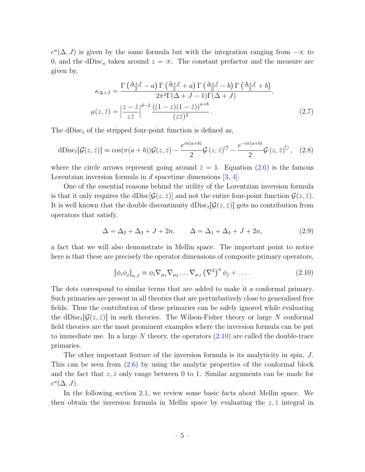$c^u(\Delta, J)$  is given by the same formula but with the integration ranging from  $-\infty$  to 0, and the dDisc<sub>u</sub> taken around  $z = \infty$ . The constant prefactor and the measure are given by,

$$
\kappa_{\Delta+J} = \frac{\Gamma\left(\frac{\Delta+J}{2} - a\right) \Gamma\left(\frac{\Delta+J}{2} + a\right) \Gamma\left(\frac{\Delta+J}{2} - b\right) \Gamma\left(\frac{\Delta+J}{2} + b\right)}{2\pi^2 \Gamma(\Delta+J-1) \Gamma(\Delta+J)},
$$
\n
$$
\mu(z,\bar{z}) = \left|\frac{z-\bar{z}}{z\bar{z}}\right|^{d-2} \frac{\left((1-z)(1-\bar{z})\right)^{a+b}}{(z\bar{z})^2}.
$$
\n(2.7)

The dDisc<sub>t</sub> of the stripped four-point function is defined as,

dDisc<sub>t</sub>[
$$
\mathcal{G}(z,\bar{z})
$$
] = cos( $\pi(a+b)$ ) $\mathcal{G}(z,\bar{z})$  -  $\frac{e^{i\pi(a+b)}}{2}\mathcal{G}(z,\bar{z})^{\circ}$  -  $\frac{e^{-i\pi(a+b)}}{2}\mathcal{G}(z,\bar{z})^{\circ}$ , (2.8)

where the circle arrows represent going around  $\overline{z} = 1$ . Equation [\(2.6\)](#page-4-0) is the famous Lorentzian inversion formula in  $d$  spacetime dimensions  $[3, 4]$  $[3, 4]$ .

One of the essential reasons behind the utility of the Lorentzian inversion formula is that it only requires the dDisc $[\mathcal{G}(z, \bar{z})]$  and not the entire four-point function  $\mathcal{G}(z, \bar{z})$ . It is well known that the double discontinuity  $dDisc_t[\mathcal{G}(z, \bar{z})]$  gets no contribution from operators that satisfy,

$$
\Delta = \Delta_2 + \Delta_3 + J + 2n, \qquad \Delta = \Delta_1 + \Delta_4 + J + 2n,\tag{2.9}
$$

a fact that we will also demonstrate in Mellin space. The important point to notice here is that these are precisely the operator dimensions of composite primary operators,

<span id="page-5-1"></span><span id="page-5-0"></span>
$$
[\phi_i \phi_j]_{n,J} \equiv \phi_i \nabla_{\mu_1} \nabla_{\mu_2} \dots \nabla_{\mu_J} (\nabla^2)^n \phi_j + \dots
$$
 (2.10)

The dots correspond to similar terms that are added to make it a conformal primary. Such primaries are present in all theories that are perturbatively close to generalised free fields. Thus the contribution of these primaries can be safely ignored while evaluating the dDisc<sub>t</sub>[ $\mathcal{G}(z,\bar{z})$ ] in such theories. The Wilson-Fisher theory or large N conformal field theories are the most prominent examples where the inversion formula can be put to immediate use. In a large N theory, the operators  $(2.10)$  are called the double-trace primaries.

The other important feature of the inversion formula is its analyticity in spin, J. This can be seen from [\(2.6\)](#page-4-0) by using the analytic properties of the conformal block and the fact that  $z, \bar{z}$  only range between 0 to 1. Similar arguments can be made for  $c^u(\Delta, J)$ .

In the following section [2.1,](#page-6-0) we review some basic facts about Mellin space. We then obtain the inversion formula in Mellin space by evaluating the  $z, \bar{z}$  integral in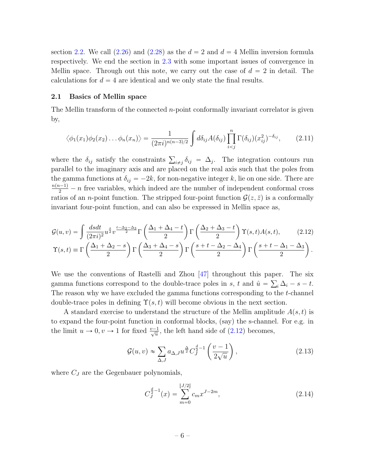section [2.2.](#page-8-0) We call  $(2.26)$  and  $(2.28)$  as the  $d = 2$  and  $d = 4$  Mellin inversion formula respectively. We end the section in [2.3](#page-10-0) with some important issues of convergence in Mellin space. Through out this note, we carry out the case of  $d = 2$  in detail. The calculations for  $d = 4$  are identical and we only state the final results.

#### <span id="page-6-0"></span>2.1 Basics of Mellin space

The Mellin transform of the connected  $n$ -point conformally invariant correlator is given by,

$$
\langle \phi_1(x_1)\phi_2(x_2)\dots\phi_n(x_n)\rangle = \frac{1}{(2\pi i)^{n(n-3)/2}}\int d\delta_{ij}A(\delta_{ij})\prod_{i
$$

where the  $\delta_{ij}$  satisfy the constraints  $\sum_{i \neq j} \delta_{ij} = \Delta_j$ . The integration contours run parallel to the imaginary axis and are placed on the real axis such that the poles from the gamma functions at  $\delta_{ij} = -2k$ , for non-negative integer k, lie on one side. There are  $\frac{n(n-1)}{2} - n$  free variables, which indeed are the number of independent conformal cross ratios of an *n*-point function. The stripped four-point function  $\mathcal{G}(z,\bar{z})$  is a conformally invariant four-point function, and can also be expressed in Mellin space as,

$$
\mathcal{G}(u,v) = \int \frac{dsdt}{(2\pi i)^2} u^{\frac{s}{2}} v^{\frac{t-\Delta_2-\Delta_3}{2}} \Gamma\left(\frac{\Delta_1+\Delta_4-t}{2}\right) \Gamma\left(\frac{\Delta_2+\Delta_3-t}{2}\right) \Upsilon(s,t) A(s,t), \qquad (2.12)
$$

$$
\Upsilon(s,t) \equiv \Gamma\left(\frac{\Delta_1+\Delta_2-s}{2}\right) \Gamma\left(\frac{\Delta_3+\Delta_4-s}{2}\right) \Gamma\left(\frac{s+t-\Delta_2-\Delta_4}{2}\right) \Gamma\left(\frac{s+t-\Delta_1-\Delta_3}{2}\right).
$$

We use the conventions of Rastelli and Zhou [47] throughout this paper. The six gamma functions correspond to the double-trace poles in s, t and 
$$
\hat{u} = \sum_i \Delta_i - s - t
$$
.  
The reason why we have excluded the gamma functions corresponding to the t-channel double-trace poles in defining  $\Upsilon(s, t)$  will become obvious in the next section.

A standard exercise to understand the structure of the Mellin amplitude  $A(s,t)$  is to expand the four-point function in conformal blocks, (say) the s-channel. For e.g. in the limit  $u \to 0, v \to 1$  for fixed  $\frac{v-1}{\sqrt{u}}$ , the left hand side of [\(2.12\)](#page-6-1) becomes,

<span id="page-6-1"></span>
$$
\mathcal{G}(u,v) \approx \sum_{\Delta,J} a_{\Delta,J} u^{\frac{\Delta}{2}} C_J^{\frac{d}{2}-1} \left(\frac{v-1}{2\sqrt{u}}\right),\tag{2.13}
$$

where  $C_J$  are the Gegenbauer polynomials,

<span id="page-6-2"></span>
$$
C_J^{\frac{d}{2}-1}(x) = \sum_{m=0}^{\lfloor J/2 \rfloor} c_m x^{J-2m},\tag{2.14}
$$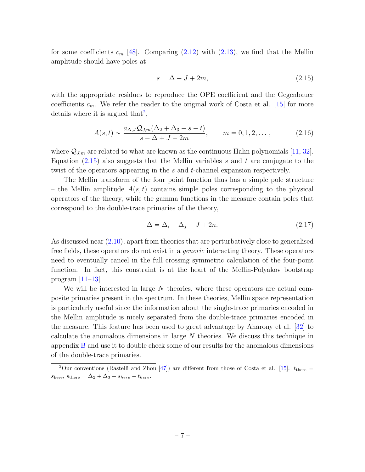for some coefficients  $c_m$  [\[48\]](#page-33-9). Comparing [\(2.12\)](#page-6-1) with [\(2.13\)](#page-6-2), we find that the Mellin amplitude should have poles at

<span id="page-7-1"></span>
$$
s = \Delta - J + 2m,\tag{2.15}
$$

with the appropriate residues to reproduce the OPE coefficient and the Gegenbauer coefficients  $c_m$ . We refer the reader to the original work of Costa et al. [\[15\]](#page-31-9) for more details where it is argued that<sup>[2](#page-7-0)</sup>,

$$
A(s,t) \sim \frac{a_{\Delta,J} Q_{J,m}(\Delta_2 + \Delta_3 - s - t)}{s - \Delta + J - 2m}, \qquad m = 0, 1, 2, \dots,
$$
 (2.16)

where  $\mathcal{Q}_{J,m}$  are related to what are known as the continuous Hahn polynomials [\[11,](#page-31-5) [32\]](#page-32-6). Equation  $(2.15)$  also suggests that the Mellin variables s and t are conjugate to the twist of the operators appearing in the s and t-channel expansion respectively.

The Mellin transform of the four point function thus has a simple pole structure – the Mellin amplitude  $A(s,t)$  contains simple poles corresponding to the physical operators of the theory, while the gamma functions in the measure contain poles that correspond to the double-trace primaries of the theory,

$$
\Delta = \Delta_i + \Delta_j + J + 2n. \tag{2.17}
$$

As discussed near [\(2.10\)](#page-5-0), apart from theories that are perturbatively close to generalised free fields, these operators do not exist in a generic interacting theory. These operators need to eventually cancel in the full crossing symmetric calculation of the four-point function. In fact, this constraint is at the heart of the Mellin-Polyakov bootstrap program  $[11-13]$ .

We will be interested in large  $N$  theories, where these operators are actual composite primaries present in the spectrum. In these theories, Mellin space representation is particularly useful since the information about the single-trace primaries encoded in the Mellin amplitude is nicely separated from the double-trace primaries encoded in the measure. This feature has been used to great advantage by Aharony et al. [\[32\]](#page-32-6) to calculate the anomalous dimensions in large N theories. We discuss this technique in appendix [B](#page-28-0) and use it to double check some of our results for the anomalous dimensions of the double-trace primaries.

<span id="page-7-0"></span><sup>&</sup>lt;sup>2</sup>Our conventions (Rastelli and Zhou [\[47\]](#page-33-8)) are different from those of Costa et al. [\[15\]](#page-31-9).  $t_{\text{there}} =$  $s_{\text{here}}, s_{\text{there}} = \Delta_2 + \Delta_3 - s_{\text{here}} - t_{\text{here}}.$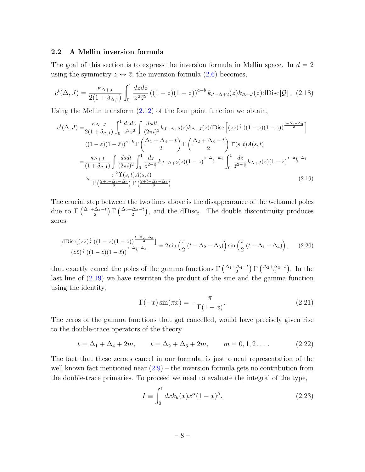#### <span id="page-8-0"></span>2.2 A Mellin inversion formula

The goal of this section is to express the inversion formula in Mellin space. In  $d = 2$ using the symmetry  $z \leftrightarrow \overline{z}$ , the inversion formula [\(2.6\)](#page-4-0) becomes,

$$
c^t(\Delta, J) = \frac{\kappa_{\Delta+J}}{2(1+\delta_{\Delta,1})} \int_0^1 \frac{dzd\bar{z}}{z^2 \bar{z}^2} \left( (1-z)(1-\bar{z}) \right)^{a+b} k_{J-\Delta+2}(z) k_{\Delta+J}(\bar{z}) d\text{Disc}[\mathcal{G}] \,. (2.18)
$$

Using the Mellin transform  $(2.12)$  of the four point function we obtain,

<span id="page-8-3"></span>
$$
c^{t}(\Delta, J) = \frac{\kappa_{\Delta+J}}{2(1+\delta_{\Delta,1})} \int_{0}^{1} \frac{dzd\bar{z}}{z^{2}\bar{z}^{2}} \int \frac{dsdt}{(2\pi i)^{2}} k_{J-\Delta+2}(z)k_{\Delta+J}(\bar{z})d\text{Disc}\left[(z\bar{z})^{\frac{s}{2}}((1-z)(1-\bar{z}))^{\frac{t-\Delta_{2}-\Delta_{3}}{2}}\right]
$$

$$
((1-z)(1-\bar{z}))^{a+b} \Gamma\left(\frac{\Delta_{1}+\Delta_{4}-t}{2}\right) \Gamma\left(\frac{\Delta_{2}+\Delta_{3}-t}{2}\right) \Upsilon(s,t)A(s,t)
$$

$$
= \frac{\kappa_{\Delta+J}}{(1+\delta_{\Delta,1})} \int \frac{dsdt}{(2\pi i)^{2}} \int_{0}^{1} \frac{dz}{z^{2-\frac{s}{2}}} k_{J-\Delta+2}(z)(1-z)^{\frac{t-\Delta_{1}-\Delta_{4}}{2}} \int_{0}^{1} \frac{d\bar{z}}{\bar{z}^{2-\frac{s}{2}}} k_{\Delta+J}(\bar{z})(1-\bar{z})^{\frac{t-\Delta_{1}-\Delta_{4}}{2}}
$$

$$
\times \frac{\pi^{2}\Upsilon(s,t)A(s,t)}{\Gamma\left(\frac{2+t-\Delta_{2}-\Delta_{3}}{2}\right)\Gamma\left(\frac{2+t-\Delta_{1}-\Delta_{4}}{2}\right)}.
$$
(2.19)

The crucial step between the two lines above is the disappearance of the  $t$ -channel poles The crucial step between the tv<br>due to  $\Gamma\left(\frac{\Delta_1+\Delta_4-t}{2}\right) \Gamma\left(\frac{\Delta_2+\Delta_3-t}{2}\right)$  $\frac{\Delta_3-t}{2}$ , and the dDisc<sub>t</sub>. The double discontinuity produces zeros

$$
\frac{\mathrm{dDisc}\left[\left(z\bar{z}\right)^{\frac{s}{2}}\left((1-z)(1-\bar{z})\right)^{\frac{t-\Delta_2-\Delta_3}{2}}\right]}{\left(z\bar{z}\right)^{\frac{s}{2}}\left((1-z)(1-\bar{z})\right)^{\frac{t-\Delta_2-\Delta_3}{2}}}=2\sin\left(\frac{\pi}{2}\left(t-\Delta_2-\Delta_3\right)\right)\sin\left(\frac{\pi}{2}\left(t-\Delta_1-\Delta_4\right)\right),\qquad(2.20)
$$

that exactly cancel the poles of the gamma functions  $\Gamma\left(\frac{\Delta_1+\Delta_4-t}{2}\right)$  $\Gamma\left(\frac{\Delta_2+\Delta_3-t}{2}\right)$ 2 . In the last line of [\(2.19\)](#page-8-1) we have rewritten the product of the sine and the gamma function using the identity,

<span id="page-8-1"></span>
$$
\Gamma(-x)\sin(\pi x) = -\frac{\pi}{\Gamma(1+x)}.\tag{2.21}
$$

The zeros of the gamma functions that got cancelled, would have precisely given rise to the double-trace operators of the theory

$$
t = \Delta_1 + \Delta_4 + 2m, \qquad t = \Delta_2 + \Delta_3 + 2m, \qquad m = 0, 1, 2 \dots \tag{2.22}
$$

The fact that these zeroes cancel in our formula, is just a neat representation of the well known fact mentioned near  $(2.9)$  – the inversion formula gets no contribution from the double-trace primaries. To proceed we need to evaluate the integral of the type,

<span id="page-8-2"></span>
$$
I = \int_0^1 dx k_h(x) x^{\alpha} (1 - x)^{\beta}.
$$
 (2.23)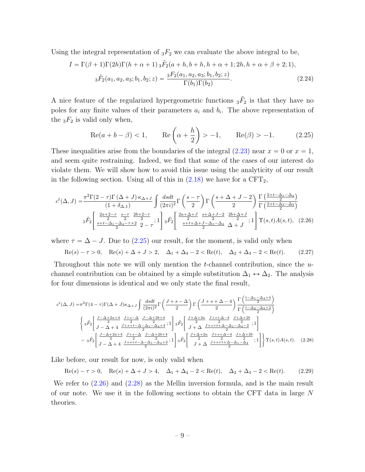Using the integral representation of  ${}_{3}F_{2}$  we can evaluate the above integral to be,

$$
I = \Gamma(\beta + 1)\Gamma(2h)\Gamma(h + \alpha + 1) \, {}_{3}\tilde{F}_{2}(a+h, b+h, h + \alpha + 1; 2h, h + \alpha + \beta + 2; 1),
$$
  

$$
{}_{3}\tilde{F}_{2}(a_{1}, a_{2}, a_{3}; b_{1}, b_{2}; z) = \frac{{}_{3}F_{2}(a_{1}, a_{2}, a_{3}; b_{1}, b_{2}; z)}{\Gamma(b_{1})\Gamma(b_{2})}.
$$
 (2.24)

A nice feature of the regularized hypergeometric functions  ${}_{3}\tilde{F}_{2}$  is that they have no poles for any finite values of their parameters  $a_i$  and  $b_i$ . The above representation of the  ${}_{3}F_2$  is valid only when, ˙

<span id="page-9-5"></span><span id="page-9-2"></span><span id="page-9-0"></span>
$$
\text{Re}(a+b-\beta) < 1, \qquad \text{Re}\left(\alpha + \frac{h}{2}\right) > -1, \qquad \text{Re}(\beta) > -1. \tag{2.25}
$$

These inequalities arise from the boundaries of the integral  $(2.23)$  near  $x = 0$  or  $x = 1$ , and seem quite restraining. Indeed, we find that some of the cases of our interest do violate them. We will show how to avoid this issue using the analyticity of our result in the following section. Using all of this in  $(2.18)$  we have for a CFT<sub>2</sub>,

$$
c^{t}(\Delta, J) = \frac{\pi^{2}\Gamma(2-\tau)\Gamma(\Delta+J)\kappa_{\Delta+J}}{(1+\delta_{\Delta,1})} \int \frac{dsdt}{(2\pi i)^{2}} \Gamma\left(\frac{s-\tau}{2}\right) \Gamma\left(\frac{s+\Delta+J-2}{2}\right) \frac{\Gamma\left(\frac{2+t-\Delta_{1}-\Delta_{4}}{2}\right)}{\Gamma\left(\frac{2+t-\Delta_{2}-\Delta_{3}}{2}\right)}
$$

$$
3\tilde{F}_{2}\left[\frac{\frac{2a+2-\tau}{2}}{\frac{s+t-\Delta_{1}-\Delta_{4}-\tau+2}{2}} \frac{s-\tau}{2-\tau}; 1\right] 3\tilde{F}_{2}\left[\frac{\frac{2a+\Delta+J}{2}}{\frac{s+t+\Delta+J-\Delta_{1}-\Delta_{4}}{2}} \frac{\Delta+J}{\Delta+J}; 1\right] \Upsilon(s,t)A(s,t), (2.26)
$$

where  $\tau = \Delta - J$ . Due to [\(2.25\)](#page-9-2) our result, for the moment, is valid only when

<span id="page-9-3"></span>
$$
\text{Re}(s) - \tau > 0, \quad \text{Re}(s) + \Delta + J > 2, \quad \Delta_1 + \Delta_4 - 2 < \text{Re}(t), \quad \Delta_2 + \Delta_3 - 2 < \text{Re}(t). \tag{2.27}
$$

Throughout this note we will only mention the t-channel contribution, since the  $u$ channel contribution can be obtained by a simple substitution  $\Delta_1 \leftrightarrow \Delta_2$ . The analysis for four dimensions is identical and we only state the final result,

$$
c^{t}(\Delta, J) = \pi^{2} \Gamma(4-\tau) \Gamma(\Delta+J) \kappa_{\Delta+J} \int \frac{dsdt}{(2\pi i)^{2}} \Gamma\left(\frac{J+s-\Delta}{2}\right) \Gamma\left(\frac{J+s+\Delta-4}{2}\right) \frac{\Gamma\left(\frac{t-\Delta_{1}-\Delta_{4}+4}{2}\right)}{\Gamma\left(\frac{t-\Delta_{2}-\Delta_{3}+2}{2}\right)}
$$

$$
\left\{3\tilde{F}_{2}\left[\frac{J-\Delta+2a+4}{J-\Delta+4}\frac{J+s-\Delta}{2}\frac{J-\Delta+2b+4}{2};1\right]3\tilde{F}_{2}\left[\frac{J+\Delta+2a}{J+\Delta}\frac{J+s+\Delta-4}{2}\frac{J+\Delta+2b}{2};1\right]
$$

$$
-3\tilde{F}_{2}\left[\frac{J-\Delta+2a+4}{J-\Delta+4}\frac{J+s-\Delta}{2}\frac{J-\Delta+2b+4}{2};1\right]3\tilde{F}_{2}\left[\frac{J+\Delta+2a}{2}\frac{J+s+t+\Delta-\Delta_{1}-\Delta_{4}-2}{2};1\right] \Gamma(s,t)A(s,t). \quad (2.28)
$$

Like before, our result for now, is only valid when

<span id="page-9-4"></span><span id="page-9-1"></span> $\text{Re}(s) - \tau > 0$ ,  $\text{Re}(s) + \Delta + J > 4$ ,  $\Delta_1 + \Delta_4 - 2 < \text{Re}(t)$ ,  $\Delta_2 + \Delta_3 - 2 < \text{Re}(t)$ . (2.29)

We refer to  $(2.26)$  and  $(2.28)$  as the Mellin inversion formula, and is the main result of our note. We use it in the following sections to obtain the CFT data in large N theories.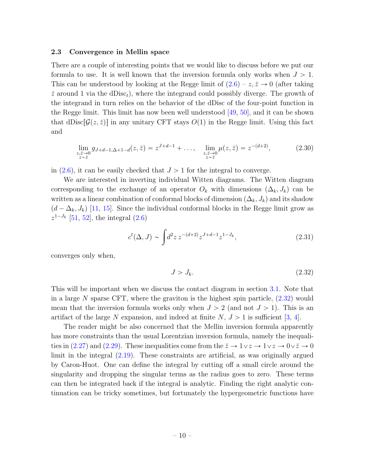#### <span id="page-10-0"></span>2.3 Convergence in Mellin space

There are a couple of interesting points that we would like to discuss before we put our formula to use. It is well known that the inversion formula only works when  $J > 1$ . This can be understood by looking at the Regge limit of  $(2.6) - z$ ,  $\overline{z} \rightarrow 0$  (after taking  $\bar{z}$  around 1 via the dDisc<sub>t</sub>), where the integrand could possibly diverge. The growth of the integrand in turn relies on the behavior of the dDisc of the four-point function in the Regge limit. This limit has now been well understood [\[49,](#page-33-10) [50\]](#page-33-11), and it can be shown that dDisc $[\mathcal{G}(z,\bar{z})]$  in any unitary CFT stays  $O(1)$  in the Regge limit. Using this fact and

$$
\lim_{\substack{z,\bar{z}\to 0\\z\sim\bar{z}}} g_{J+d-1,\Delta+1-d}(z,\bar{z}) = z^{J+d-1} + \dots, \quad \lim_{\substack{z,\bar{z}\to 0\\z\sim\bar{z}}} \mu(z,\bar{z}) = z^{-(d+2)},\tag{2.30}
$$

in  $(2.6)$ , it can be easily checked that  $J > 1$  for the integral to converge.

We are interested in inverting individual Witten diagrams. The Witten diagram corresponding to the exchange of an operator  $O_k$  with dimensions  $(\Delta_k, J_k)$  can be written as a linear combination of conformal blocks of dimension  $(\Delta_k, J_k)$  and its shadow  $(d - \Delta_k, J_k)$  [\[11,](#page-31-5) [15\]](#page-31-9). Since the individual conformal blocks in the Regge limit grow as  $z^{1-J_k}$  [\[51,](#page-33-12) [52\]](#page-33-13), the integral  $(2.6)$ 

$$
c^t(\Delta, J) \sim \int d^2 z \, z^{-(d+2)} z^{J+d-1} z^{1-J_k},\tag{2.31}
$$

converges only when,

<span id="page-10-1"></span>
$$
J > J_k. \tag{2.32}
$$

This will be important when we discuss the contact diagram in section [3.1.](#page-12-0) Note that in a large N sparse CFT, where the graviton is the highest spin particle,  $(2.32)$  would mean that the inversion formula works only when  $J > 2$  (and not  $J > 1$ ). This is an artifact of the large N expansion, and indeed at finite  $N, J > 1$  is sufficient [\[3,](#page-31-1) [4\]](#page-31-2).

The reader might be also concerned that the Mellin inversion formula apparently has more constraints than the usual Lorentzian inversion formula, namely the inequali-ties in [\(2.27\)](#page-9-3) and [\(2.29\)](#page-9-4). These inequalities come from the  $\bar{z} \to 1 \vee z \to 1 \vee z \to 0 \vee \bar{z} \to 0$ limit in the integral [\(2.19\)](#page-8-1). These constraints are artificial, as was originally argued by Caron-Huot. One can define the integral by cutting off a small circle around the singularity and dropping the singular terms as the radius goes to zero. These terms can then be integrated back if the integral is analytic. Finding the right analytic continuation can be tricky sometimes, but fortunately the hypergeometric functions have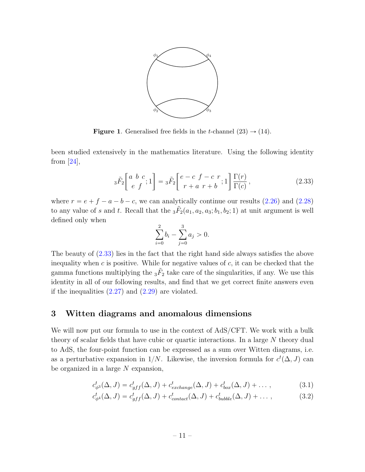

<span id="page-11-2"></span>**Figure 1.** Generalised free fields in the *t*-channel  $(23) \rightarrow (14)$ .

been studied extensively in the mathematics literature. Using the following identity from [\[24\]](#page-32-2),

$$
{}_3\tilde{F}_2\left[\begin{array}{cc} a & b & c \\ e & f \end{array}; 1\right] = {}_3\tilde{F}_2\left[\begin{array}{cc} e-c & f-c & r \\ r+a & r+b \end{array}; 1\right] \frac{\Gamma(r)}{\Gamma(c)},\tag{2.33}
$$

where  $r = e + f - a - b - c$ , we can analytically continue our results [\(2.26\)](#page-9-0) and [\(2.28\)](#page-9-1) to any value of s and t. Recall that the  $_3\tilde{F}_2(a_1, a_2, a_3; b_1, b_2; 1)$  at unit argument is well defined only when

<span id="page-11-1"></span>
$$
\sum_{i=0}^{2} b_i - \sum_{j=0}^{3} a_j > 0.
$$

The beauty of [\(2.33\)](#page-11-1) lies in the fact that the right hand side always satisfies the above inequality when c is positive. While for negative values of  $c$ , it can be checked that the gamma functions multiplying the  ${}_{3}\tilde{F}_{2}$  take care of the singularities, if any. We use this identity in all of our following results, and find that we get correct finite answers even if the inequalities  $(2.27)$  and  $(2.29)$  are violated.

# <span id="page-11-0"></span>3 Witten diagrams and anomalous dimensions

We will now put our formula to use in the context of AdS/CFT. We work with a bulk theory of scalar fields that have cubic or quartic interactions. In a large N theory dual to AdS, the four-point function can be expressed as a sum over Witten diagrams, i.e. as a perturbative expansion in  $1/N$ . Likewise, the inversion formula for  $c^t(\Delta, J)$  can be organized in a large  $N$  expansion,

$$
c_{\phi^3}^t(\Delta, J) = c_{gff}^t(\Delta, J) + c_{exchange}^t(\Delta, J) + c_{box}^t(\Delta, J) + \dots,
$$
\n(3.1)

$$
c_{\phi^4}^t(\Delta, J) = c_{gff}^t(\Delta, J) + c_{contact}^t(\Delta, J) + c_{bubble}^t(\Delta, J) + \dots,
$$
\n(3.2)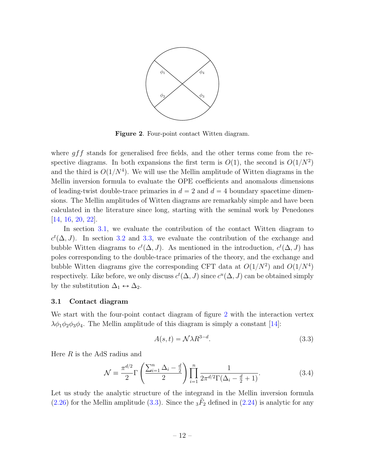

<span id="page-12-1"></span>Figure 2. Four-point contact Witten diagram.

where  $g f f$  stands for generalised free fields, and the other terms come from the respective diagrams. In both expansions the first term is  $O(1)$ , the second is  $O(1/N^2)$ and the third is  $O(1/N^4)$ . We will use the Mellin amplitude of Witten diagrams in the Mellin inversion formula to evaluate the OPE coefficients and anomalous dimensions of leading-twist double-trace primaries in  $d = 2$  and  $d = 4$  boundary spacetime dimensions. The Mellin amplitudes of Witten diagrams are remarkably simple and have been calculated in the literature since long, starting with the seminal work by Penedones [\[14,](#page-31-7) [16,](#page-31-10) [20,](#page-32-9) [22\]](#page-32-0).

In section [3.1,](#page-12-0) we evaluate the contribution of the contact Witten diagram to  $c<sup>t</sup>(\Delta, J)$ . In section [3.2](#page-14-0) and [3.3,](#page-20-0) we evaluate the contribution of the exchange and bubble Witten diagrams to  $c^t(\Delta, J)$ . As mentioned in the introduction,  $c^t(\Delta, J)$  has poles corresponding to the double-trace primaries of the theory, and the exchange and bubble Witten diagrams give the corresponding CFT data at  $O(1/N^2)$  and  $O(1/N^4)$ respectively. Like before, we only discuss  $c^t(\Delta, J)$  since  $c^u(\Delta, J)$  can be obtained simply by the substitution  $\Delta_1 \leftrightarrow \Delta_2$ .

#### <span id="page-12-0"></span>3.1 Contact diagram

We start with the four-point contact diagram of figure [2](#page-12-1) with the interaction vertex  $\lambda\phi_1\phi_2\phi_3\phi_4$ . The Mellin amplitude of this diagram is simply a constant [\[14\]](#page-31-7):

<span id="page-12-3"></span><span id="page-12-2"></span>
$$
A(s,t) = \mathcal{N}\lambda R^{3-d}.\tag{3.3}
$$

Here  $R$  is the AdS radius and

$$
\mathcal{N} \equiv \frac{\pi^{d/2}}{2} \Gamma \left( \frac{\sum_{i=1}^{n} \Delta_i - \frac{d}{2}}{2} \right) \prod_{i=1}^{n} \frac{1}{2\pi^{d/2} \Gamma(\Delta_i - \frac{d}{2} + 1)}.
$$
(3.4)

Let us study the analytic structure of the integrand in the Mellin inversion formula [\(2.26\)](#page-9-0) for the Mellin amplitude [\(3.3\)](#page-12-2). Since the  $_3\tilde{F}_2$  defined in [\(2.24\)](#page-9-5) is analytic for any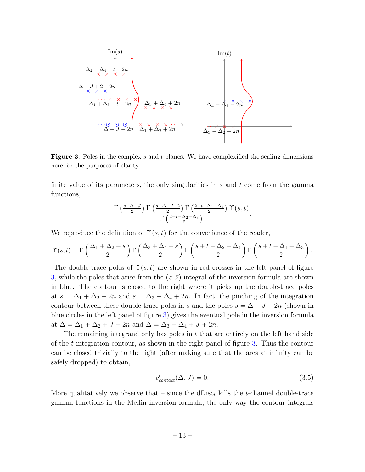$$
\operatorname{Im}(s) \qquad \operatorname{Im}(t)
$$
\n
$$
\Delta_2 + \Delta_4 - t - 2n
$$
\n
$$
-\Delta - J + 2 - 2n
$$
\n
$$
\begin{array}{c}\n\Delta_1 + \Delta_3 - t - 2n \\
\vdots \\
\Delta_1 + \Delta_3 - t - 2n\n\end{array}\n\qquad\n\begin{array}{c}\n\Delta_3 + \Delta_4 + 2n \\
\vdots \\
\Delta_3 + \Delta_2 + 2n\n\end{array}\n\qquad\n\begin{array}{c}\n\Delta_4 \vdots \\
\Delta_4 \vdots \\
\Delta_5 \vdots \\
\Delta_6 \vdots \\
\Delta_7 \vdots \\
\Delta_8 \vdots \\
\Delta_9 \vdots \\
\Delta_1 \vdots \\
\Delta_1 \vdots \\
\Delta_2 \vdots \\
\Delta_3 \vdots \\
\Delta_1 \vdots \\
\Delta_2 \vdots \\
\Delta_3 \vdots \\
\Delta_3 \vdots \\
\Delta_3 \vdots \\
\Delta_3 \vdots \\
\Delta_3 \vdots \\
\Delta_3 \vdots \\
\Delta_3 \vdots \\
\Delta_3 \vdots \\
\Delta_3 \vdots \\
\Delta_3 \vdots \\
\Delta_3 \vdots \\
\Delta_3 \vdots \\
\Delta_3 \vdots \\
\Delta_3 \vdots \\
\Delta_3 \vdots \\
\Delta_3 \vdots \\
\Delta_3 \vdots \\
\Delta_3 \vdots \\
\Delta_3 \vdots \\
\Delta_3 \vdots \\
\Delta_3 \vdots \\
\Delta_3 \vdots \\
\Delta_3 \vdots \\
\Delta_3 \vdots \\
\Delta_3 \vdots \\
\Delta_3 \vdots \\
\Delta_3 \vdots \\
\Delta_3 \vdots \\
\Delta_3 \vdots \\
\Delta_3 \vdots \\
\Delta_3 \vdots \\
\Delta_3 \vdots \\
\Delta_3 \vdots \\
\Delta_3 \vdots \\
\Delta_3 \vdots \\
\Delta_3 \vdots \\
\Delta_3 \vdots \\
\Delta_3 \vdots \\
\Delta_3 \vdots \\
\Delta_3 \vdots \\
\Delta_3 \vdots \\
\Delta_3 \vdots \\
\Delta_3 \vdots \\
\Delta_3 \vdots \\
\Delta_3 \vdots \\
\Delta_3 \vdots \\
\Delta_3 \vdots \\
\Delta_3 \vdots \\
\Delta_3 \vdots \\
\Delta_3 \vdots \\
\Delta_3 \vdots \\
\Delta_3 \vdots \\
\Delta_3 \vdots \\
\Delta_3 \vdots \\
\Delta_3 \vdots \\
\Delta_3 \vdots \\
\Delta_3 \vdots \\
\Delta_3 \vdots \\
\Delta_3 \vdots \\
$$

<span id="page-13-0"></span>**Figure 3.** Poles in the complex s and t planes. We have complexified the scaling dimensions here for the purposes of clarity.

finite value of its parameters, the only singularities in  $s$  and  $t$  come from the gamma functions,

$$
\frac{\Gamma\left(\frac{s-\Delta+J}{2}\right)\Gamma\left(\frac{s+\Delta+J-2}{2}\right)\Gamma\left(\frac{2+t-\Delta_1-\Delta_4}{2}\right)\Upsilon(s,t)}{\Gamma\left(\frac{2+t-\Delta_2-\Delta_3}{2}\right)}.
$$

We reproduce the definition of  $\Upsilon(s, t)$  for the convenience of the reader,

$$
\Upsilon(s,t) = \Gamma\left(\frac{\Delta_1 + \Delta_2 - s}{2}\right) \Gamma\left(\frac{\Delta_3 + \Delta_4 - s}{2}\right) \Gamma\left(\frac{s+t-\Delta_2 - \Delta_4}{2}\right) \Gamma\left(\frac{s+t-\Delta_1 - \Delta_3}{2}\right).
$$

The double-trace poles of  $\Upsilon(s, t)$  are shown in red crosses in the left panel of figure [3,](#page-13-0) while the poles that arise from the  $(z, \overline{z})$  integral of the inversion formula are shown in blue. The contour is closed to the right where it picks up the double-trace poles at  $s = \Delta_1 + \Delta_2 + 2n$  and  $s = \Delta_3 + \Delta_4 + 2n$ . In fact, the pinching of the integration contour between these double-trace poles in s and the poles  $s = \Delta - J + 2n$  (shown in blue circles in the left panel of figure [3\)](#page-13-0) gives the eventual pole in the inversion formula at  $\Delta = \Delta_1 + \Delta_2 + J + 2n$  and  $\Delta = \Delta_3 + \Delta_4 + J + 2n$ .

The remaining integrand only has poles in  $t$  that are entirely on the left hand side of the t integration contour, as shown in the right panel of figure [3.](#page-13-0) Thus the contour can be closed trivially to the right (after making sure that the arcs at infinity can be safely dropped) to obtain,

<span id="page-13-1"></span>
$$
c_{contact}^t(\Delta, J) = 0.
$$
\n(3.5)

More qualitatively we observe that – since the dDisc<sub>t</sub> kills the t-channel double-trace gamma functions in the Mellin inversion formula, the only way the contour integrals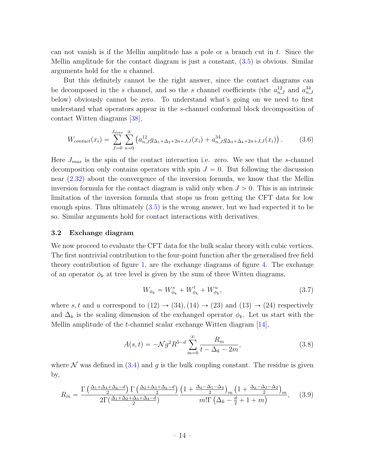can not vanish is if the Mellin amplitude has a pole or a branch cut in t. Since the Mellin amplitude for the contact diagram is just a constant, [\(3.5\)](#page-13-1) is obvious. Similar arguments hold for the u channel.

But this definitely cannot be the right answer, since the contact diagrams can be decomposed in the s channel, and so the s channel coefficients (the  $a_{n,J}^{12}$  and  $a_{n,J}^{34}$ below) obviously cannot be zero. To understand what's going on we need to first understand what operators appear in the s-channel conformal block decomposition of contact Witten diagrams [\[38\]](#page-33-14),

$$
W_{contact}(x_i) = \sum_{J=0}^{J_{max}} \sum_{n=0}^{\infty} \left( a_{n,J}^{12} g_{\Delta_1 + \Delta_2 + 2n + J, J}(x_i) + a_{n,J}^{34} g_{\Delta_3 + \Delta_4 + 2n + J, J}(x_i) \right). \tag{3.6}
$$

Here  $J_{max}$  is the spin of the contact interaction i.e. zero. We see that the s-channel decomposition only contains operators with spin  $J = 0$ . But following the discussion near [\(2.32\)](#page-10-1) about the convergence of the inversion formula, we know that the Mellin inversion formula for the contact diagram is valid only when  $J > 0$ . This is an intrinsic limitation of the inversion formula that stops us from getting the CFT data for low enough spins. Thus ultimately [\(3.5\)](#page-13-1) is the wrong answer, but we had expected it to be so. Similar arguments hold for contact interactions with derivatives.

#### <span id="page-14-0"></span>3.2 Exchange diagram

We now proceed to evaluate the CFT data for the bulk scalar theory with cubic vertices. The first nontrivial contribution to the four-point function after the generalised free field theory contribution of figure [1,](#page-11-2) are the exchange diagrams of figure [4.](#page-15-0) The exchange of an operator  $\phi_k$  at tree level is given by the sum of three Witten diagrams,

<span id="page-14-1"></span>
$$
W_{\phi_k} = W_{\phi_k}^s + W_{\phi_k}^t + W_{\phi_k}^u,\tag{3.7}
$$

where s, t and u correspond to  $(12) \rightarrow (34)$ ,  $(14) \rightarrow (23)$  and  $(13) \rightarrow (24)$  respectively and  $\Delta_k$  is the scaling dimension of the exchanged operator  $\phi_k$ . Let us start with the Mellin amplitude of the t-channel scalar exchange Witten diagram [\[14\]](#page-31-7),

$$
A(s,t) = -\mathcal{N}g^2 R^{5-d} \sum_{m=0}^{\infty} \frac{R_m}{t - \Delta_k - 2m},
$$
\n(3.8)

where  $\mathcal N$  was defined in [\(3.4\)](#page-12-3) and g is the bulk coupling constant. The residue is given by,

$$
R_m = \frac{\Gamma\left(\frac{\Delta_1 + \Delta_4 + \Delta_k - d}{2}\right) \Gamma\left(\frac{\Delta_2 + \Delta_3 + \Delta_k - d}{2}\right)}{2\Gamma\left(\frac{\Delta_1 + \Delta_2 + \Delta_3 + \Delta_4 - d}{2}\right)} \frac{\left(1 + \frac{\Delta_k - \Delta_1 - \Delta_4}{2}\right)_m \left(1 + \frac{\Delta_k - \Delta_3 - \Delta_2}{2}\right)_m}{m!\Gamma\left(\Delta_k - \frac{d}{2} + 1 + m\right)},\tag{3.9}
$$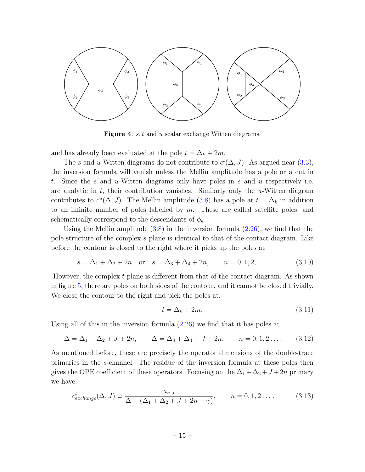

<span id="page-15-0"></span>Figure 4. s, t and u scalar exchange Witten diagrams.

and has already been evaluated at the pole  $t = \Delta_k + 2m$ .

The s and u-Witten diagrams do not contribute to  $c^t(\Delta, J)$ . As argued near [\(3.3\)](#page-12-2), the inversion formula will vanish unless the Mellin amplitude has a pole or a cut in t. Since the s and u-Witten diagrams only have poles in s and u respectively i.e. are analytic in  $t$ , their contribution vanishes. Similarly only the  $u$ -Witten diagram contributes to  $c^u(\Delta, J)$ . The Mellin amplitude [\(3.8\)](#page-14-1) has a pole at  $t = \Delta_k$  in addition to an infinite number of poles labelled by  $m$ . These are called satellite poles, and schematically correspond to the descendants of  $\phi_k$ .

Using the Mellin amplitude  $(3.8)$  in the inversion formula  $(2.26)$ , we find that the pole structure of the complex s plane is identical to that of the contact diagram. Like before the contour is closed to the right where it picks up the poles at

$$
s = \Delta_1 + \Delta_2 + 2n
$$
 or  $s = \Delta_3 + \Delta_4 + 2n$ ,  $n = 0, 1, 2, ...$  (3.10)

However, the complex  $t$  plane is different from that of the contact diagram. As shown in figure [5,](#page-16-0) there are poles on both sides of the contour, and it cannot be closed trivially. We close the contour to the right and pick the poles at,

<span id="page-15-3"></span><span id="page-15-2"></span><span id="page-15-1"></span>
$$
t = \Delta_k + 2m. \tag{3.11}
$$

Using all of this in the inversion formula  $(2.26)$  we find that it has poles at

$$
\Delta = \Delta_1 + \Delta_2 + J + 2n, \qquad \Delta = \Delta_3 + \Delta_4 + J + 2n, \qquad n = 0, 1, 2 \dots \tag{3.12}
$$

As mentioned before, these are precisely the operator dimensions of the double-trace primaries in the s-channel. The residue of the inversion formula at these poles then gives the OPE coefficient of these operators. Focusing on the  $\Delta_1 + \Delta_2 + J + 2n$  primary we have,

$$
c_{exchange}^t(\Delta, J) \supset \frac{a_{n,J}}{\Delta - (\Delta_1 + \Delta_2 + J + 2n + \gamma)}, \qquad n = 0, 1, 2 \dots
$$
 (3.13)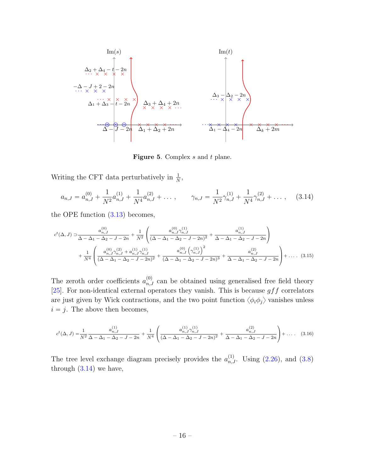$$
\operatorname{Im}(s) \qquad \operatorname{Im}(t)
$$
\n
$$
\Delta_{2} + \Delta_{4} - \hat{t} - 2n
$$
\n
$$
-\Delta - J + 2 - 2n
$$
\n
$$
\begin{array}{c}\n\Delta_{3} + \Delta_{4} + 2n \\
\vdots \\
\Delta_{1} + \Delta_{3} - t - 2n\n\end{array}\n\qquad\n\begin{array}{c}\n\Delta_{3} + \Delta_{4} + 2n \\
\vdots \\
\Delta_{3} + \Delta_{4} + 2n \\
\vdots \\
\Delta_{4} - \Delta_{4} - 2n\n\end{array}\n\qquad\n\begin{array}{c}\n\Delta_{3} + \Delta_{4} + 2n \\
\vdots \\
\Delta_{5} + \Delta_{6} + 2n\n\end{array}\n\qquad\n\begin{array}{c}\n\Delta_{6} + \Delta_{7} + 2n \\
\vdots \\
\Delta_{7} + \Delta_{8} + 2n\n\end{array}
$$

<span id="page-16-2"></span><span id="page-16-1"></span><span id="page-16-0"></span>Figure 5. Complex s and t plane.

Writing the CFT data perturbatively in  $\frac{1}{N}$ ,

$$
a_{n,J} = a_{n,J}^{(0)} + \frac{1}{N^2} a_{n,J}^{(1)} + \frac{1}{N^4} a_{n,J}^{(2)} + \dots, \qquad \gamma_{n,J} = \frac{1}{N^2} \gamma_{n,J}^{(1)} + \frac{1}{N^4} \gamma_{n,J}^{(2)} + \dots, \qquad (3.14)
$$

the OPE function [\(3.13\)](#page-15-1) becomes,

$$
c^{t}(\Delta, J) \supset \frac{a_{n,J}^{(0)}}{\Delta - \Delta_1 - \Delta_2 - J - 2n} + \frac{1}{N^2} \left( \frac{a_{n,J}^{(0)} \gamma_{n,J}^{(1)}}{(\Delta - \Delta_1 - \Delta_2 - J - 2n)^2} + \frac{a_{n,J}^{(1)}}{\Delta - \Delta_1 - \Delta_2 - J - 2n} \right)
$$
  
+ 
$$
\frac{1}{N^4} \left( \frac{a_{n,J}^{(0)} \gamma_{n,J}^{(2)} + a_{n,J}^{(1)} \gamma_{n,J}^{(1)}}{(\Delta - \Delta_1 - \Delta_2 - J - 2n)^2} + \frac{a_{n,J}^{(0)} \left( \gamma_{n,J}^{(1)} \right)^2}{(\Delta - \Delta_1 - \Delta_2 - J - 2n)^3} + \frac{a_{n,J}^{(2)}}{\Delta - \Delta_1 - \Delta_2 - J - 2n} \right) + \dots (3.15)
$$

The zeroth order coefficients  $a_{n,J}^{(0)}$  can be obtained using generalised free field theory [\[25\]](#page-32-3). For non-identical external operators they vanish. This is because  $gff$  correlators are just given by Wick contractions, and the two point function  $\langle \phi_i \phi_j \rangle$  vanishes unless  $i = j$ . The above then becomes,

$$
c^{t}(\Delta, J) = \frac{1}{N^2} \frac{a_{n,J}^{(1)}}{\Delta - \Delta_1 - \Delta_2 - J - 2n} + \frac{1}{N^4} \left( \frac{a_{n,J}^{(1)} \gamma_{n,J}^{(1)}}{(\Delta - \Delta_1 - \Delta_2 - J - 2n)^2} + \frac{a_{n,J}^{(2)}}{\Delta - \Delta_1 - \Delta_2 - J - 2n} \right) + \dots (3.16)
$$

The tree level exchange diagram precisely provides the  $a_{n,J}^{(1)}$ . Using  $(2.26)$ , and  $(3.8)$ through [\(3.14\)](#page-16-1) we have,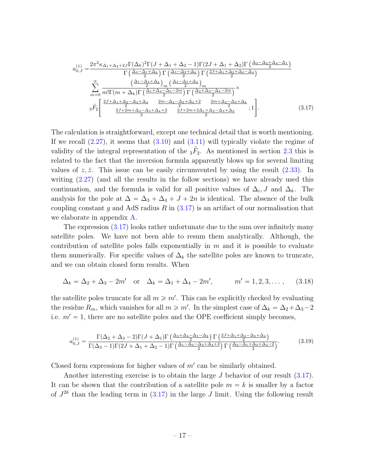<span id="page-17-0"></span>
$$
a_{0,J}^{(1)} = \frac{2\pi^2 \kappa_{\Delta_1 + \Delta_2 + 2J} \Gamma(\Delta_k)^2 \Gamma(J + \Delta_1 + \Delta_2 - 1) \Gamma(2J + \Delta_1 + \Delta_2) \Gamma\left(\frac{\Delta_3 - \Delta_2 + \Delta_4 - \Delta_1}{2}\right)}{\Gamma\left(\frac{\Delta_4 - \Delta_1 + \Delta_k}{2}\right) \Gamma\left(\frac{\Delta_3 - \Delta_2 + \Delta_k}{2}\right) \Gamma\left(\frac{2J + \Delta_1 + \Delta_2 + \Delta_3 - \Delta_4}{2}\right)}
$$

$$
\sum_{m=0}^{\infty} \frac{\left(\frac{\Delta_1 - \Delta_4 + \Delta_k}{2}\right)_m \left(\frac{\Delta_2 - \Delta_3 + \Delta_k}{2}\right)_m}{m! \Gamma(m + \Delta_k) \Gamma\left(\frac{\Delta_1 + \Delta_4 - \Delta_k - 2m}{2}\right) \Gamma\left(\frac{\Delta_2 + \Delta_3 - \Delta_k - 2m}{2}\right)} \times
$$

$$
3\tilde{F}_2 \left[\frac{\frac{2J + \Delta_1 + \Delta_2 - \Delta_3 + \Delta_4}{2} - \frac{2m - \Delta_2 - \Delta_3 + \Delta_k + 2}{2} - \frac{2m + \Delta_2 - \Delta_3 + \Delta_k}{2}}{\frac{2J + 2m + 2\Delta_1 + \Delta_2 - \Delta_3 + \Delta_k}{2}}; 1\right].
$$
(3.17)

The calculation is straightforward, except one technical detail that is worth mentioning. If we recall  $(2.27)$ , it seems that  $(3.10)$  and  $(3.11)$  will typically violate the regime of validity of the integral representation of the  ${}_{3}\tilde{F}_{2}$ . As mentioned in section [2.3](#page-10-0) this is related to the fact that the inversion formula apparently blows up for several limiting values of  $z, \bar{z}$ . This issue can be easily circumvented by using the result [\(2.33\)](#page-11-1). In writing [\(2.27\)](#page-9-3) (and all the results in the follow sections) we have already used this continuation, and the formula is valid for all positive values of  $\Delta_i$ , J and  $\Delta_k$ . The analysis for the pole at  $\Delta = \Delta_3 + \Delta_4 + J + 2n$  is identical. The absence of the bulk coupling constant g and AdS radius  $R$  in  $(3.17)$  is an artifact of our normalisation that we elaborate in appendix [A.](#page-26-0)

The expression [\(3.17\)](#page-17-0) looks rather unfortunate due to the sum over infinitely many satellite poles. We have not been able to resum them analytically. Although, the contribution of satellite poles falls exponentially in  $m$  and it is possible to evaluate them numerically. For specific values of  $\Delta_k$  the satellite poles are known to truncate, and we can obtain closed form results. When

$$
\Delta_k = \Delta_2 + \Delta_3 - 2m'
$$
 or  $\Delta_k = \Delta_1 + \Delta_4 - 2m'$ ,  $m' = 1, 2, 3, ...$ , (3.18)

the satellite poles truncate for all  $m \geqslant m'$ . This can be explicitly checked by evaluating the residue  $R_m$ , which vanishes for all  $m \geq m'$ . In the simplest case of  $\Delta_k = \Delta_2 + \Delta_3 - 2$ i.e.  $m' = 1$ , there are no satellite poles and the OPE coefficient simply becomes,

$$
a_{0,J}^{(1)} = \frac{\Gamma(\Delta_2 + \Delta_3 - 2)\Gamma(J + \Delta_1)\Gamma(\frac{\Delta_3 + \Delta_4 - \Delta_1 - \Delta_2}{2})\Gamma(\frac{2J + \Delta_1 + \Delta_2 - \Delta_3 + \Delta_4}{2})}{\Gamma(\Delta_3 - 1)\Gamma(2J + \Delta_1 + \Delta_2 - 1)\Gamma(\frac{\Delta_1 - \Delta_2 - \Delta_3 + \Delta_4 + 2}{2})\Gamma(\frac{\Delta_2 - \Delta_1 + \Delta_3 + \Delta_4 - 2}{2})}.
$$
(3.19)

Closed form expressions for higher values of  $m'$  can be similarly obtained.

Another interesting exercise is to obtain the large J behavior of our result [\(3.17\)](#page-17-0). It can be shown that the contribution of a satellite pole  $m = k$  is smaller by a factor of  $J^{2k}$  than the leading term in  $(3.17)$  in the large J limit. Using the following result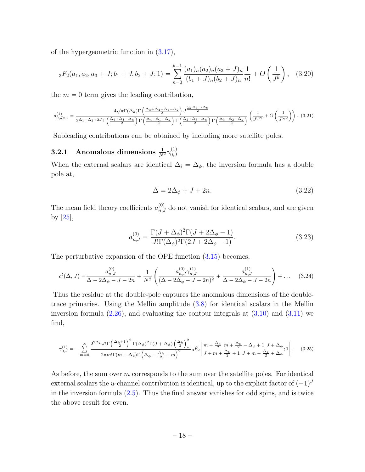of the hypergeometric function in [\(3.17\)](#page-17-0),

$$
{}_3F_2(a_1, a_2, a_3 + J; b_1 + J, b_2 + J; 1) = \sum_{n=0}^{k-1} \frac{(a_1)_n (a_2)_n (a_3 + J)_n}{(b_1 + J)_n (b_2 + J)_n} \frac{1}{n!} + O\left(\frac{1}{J^k}\right), \quad (3.20)
$$

the  $m = 0$  term gives the leading contribution,

$$
a_{0,J\gg1}^{(1)} = \frac{4\sqrt{\pi}\Gamma(\Delta_k)\Gamma\left(\frac{\Delta_3 + \Delta_4 - \Delta_1 - \Delta_2}{2}\right)J^{\frac{\sum_{i}\Delta_i - 2\Delta_k}{2}}}{2^{\Delta_1 + \Delta_2 + 2J}\Gamma\left(\frac{\Delta_4 + \Delta_1 - \Delta_k}{2}\right)\Gamma\left(\frac{\Delta_4 - \Delta_1 + \Delta_k}{2}\right)\Gamma\left(\frac{\Delta_2 + \Delta_3 - \Delta_k}{2}\right)\Gamma\left(\frac{\Delta_3 - \Delta_2 + \Delta_k}{2}\right)} \left(\frac{1}{J^{3/2}} + O\left(\frac{1}{J^{5/2}}\right)\right). (3.21)
$$

Subleading contributions can be obtained by including more satellite poles.

#### <span id="page-18-0"></span>**3.2.1** Anomalous dimensions  $\frac{1}{N^2} \gamma_{0,J}^{(1)}$  $_{0,J}$

When the external scalars are identical  $\Delta_i = \Delta_{\phi}$ , the inversion formula has a double pole at,

<span id="page-18-4"></span><span id="page-18-2"></span><span id="page-18-1"></span>
$$
\Delta = 2\Delta_{\phi} + J + 2n. \tag{3.22}
$$

The mean field theory coefficients  $a_{n,J}^{(0)}$  do not vanish for identical scalars, and are given by [\[25\]](#page-32-3),

<span id="page-18-3"></span>
$$
a_{n,J}^{(0)} = \frac{\Gamma(J + \Delta_{\phi})^2 \Gamma(J + 2\Delta_{\phi} - 1)}{J! \Gamma(\Delta_{\phi})^2 \Gamma(2J + 2\Delta_{\phi} - 1)}.
$$
\n(3.23)

The perturbative expansion of the OPE function [\(3.15\)](#page-16-2) becomes,

$$
c^{t}(\Delta, J) = \frac{a_{n,J}^{(0)}}{\Delta - 2\Delta_{\phi} - J - 2n} + \frac{1}{N^2} \left( \frac{a_{n,J}^{(0)} \gamma_{n,J}^{(1)}}{(\Delta - 2\Delta_{\phi} - J - 2n)^2} + \frac{a_{n,J}^{(1)}}{\Delta - 2\Delta_{\phi} - J - 2n} \right) + \dots \quad (3.24)
$$

Thus the residue at the double-pole captures the anomalous dimensions of the doubletrace primaries. Using the Mellin amplitude [\(3.8\)](#page-14-1) for identical scalars in the Mellin inversion formula  $(2.26)$ , and evaluating the contour integrals at  $(3.10)$  and  $(3.11)$  we find,

$$
\gamma_{0,J}^{(1)} = -\sum_{m=0}^{\infty} \frac{2^{2\Delta_k} J! \Gamma\left(\frac{\Delta_k+1}{2}\right)^2 \Gamma(\Delta_\phi)^2 \Gamma(J+\Delta_\phi) \left(\frac{\Delta_k}{2}\right)^2_m}{2\pi m! \Gamma(m+\Delta_k) \Gamma\left(\Delta_\phi - \frac{\Delta_k}{2} - m\right)^2} {}_3\tilde{F}_2 \left[ \frac{m + \frac{\Delta_k}{2} m + \frac{\Delta_k}{2} - \Delta_\phi + 1 J + \Delta_\phi}{J+m + \frac{\Delta_k}{2} + 1 J + m + \frac{\Delta_k}{2} + \Delta_\phi}; 1 \right].
$$
 (3.25)

As before, the sum over  $m$  corresponds to the sum over the satellite poles. For identical external scalars the *u*-channel contribution is identical, up to the explicit factor of  $(-1)^J$ in the inversion formula [\(2.5\)](#page-4-1). Thus the final answer vanishes for odd spins, and is twice the above result for even.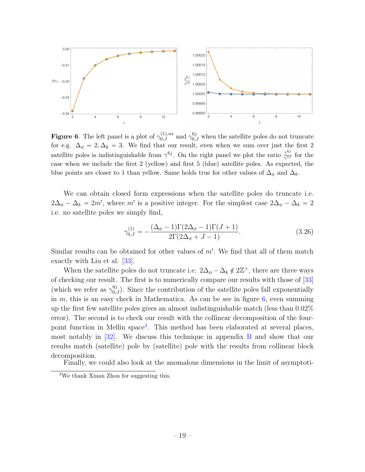

<span id="page-19-0"></span>**Figure 6.** The left panel is a plot of  $\gamma_{0,J}^{(1),us}$  and  $\gamma_{0,J}^{6j}$  when the satellite poles do not truncate for e.g.  $\Delta_{\phi} = 2, \Delta_k = 3$ . We find that our result, even when we sum over just the first 2 satellite poles is indistinguishable from  $\gamma^{6j}$ . On the right panel we plot the ratio  $\frac{\gamma^{6j}}{\gamma^{us}}$  $\frac{\gamma^{0.5}}{\gamma^{us}}$  for the case when we include the first 2 (yellow) and first 5 (blue) satellite poles. As expected, the blue points are closer to 1 than yellow. Same holds true for other values of  $\Delta_{\phi}$  and  $\Delta_{k}$ .

We can obtain closed form expressions when the satellite poles do truncate i.e.  $2\Delta_{\phi}-\Delta_k = 2m'$ , where m' is a positive integer. For the simplest case  $2\Delta_{\phi}-\Delta_k = 2m'$ i.e. no satellite poles we simply find,

$$
\gamma_{0,J}^{(1)} = -\frac{(\Delta_{\phi} - 1)\Gamma(2\Delta_{\phi} - 1)\Gamma(J+1)}{2\Gamma(2\Delta_{\phi} + J - 1)}.
$$
\n(3.26)

Similar results can be obtained for other values of  $m'$ . We find that all of them match exactly with Liu et al. [\[33\]](#page-32-7).

When the satellite poles do not truncate i.e.  $2\Delta_{\phi} - \Delta_k \notin 2\mathbb{Z}^+$ , there are three ways of checking our result. The first is to numerically compare our results with those of [\[33\]](#page-32-7) (which we refer as  $\gamma_{0,J}^{6j}$ ). Since the contribution of the satellite poles fall exponentially in  $m$ , this is an easy check in Mathematica. As can be see in figure  $6$ , even summing up the first few satellite poles gives an almost indistinguishable match (less than 0.02% error). The second is to check our result with the collinear decomposition of the four-point function in Mellin space<sup>[3](#page-19-1)</sup>. This method has been elaborated at several places, most notably in [\[32\]](#page-32-6). We discuss this technique in appendix [B](#page-28-0) and show that our results match (satellite) pole by (satellite) pole with the results from collinear block decomposition.

Finally, we could also look at the anomalous dimensions in the limit of asymptoti-

<span id="page-19-1"></span><sup>3</sup>We thank Xinan Zhou for suggesting this.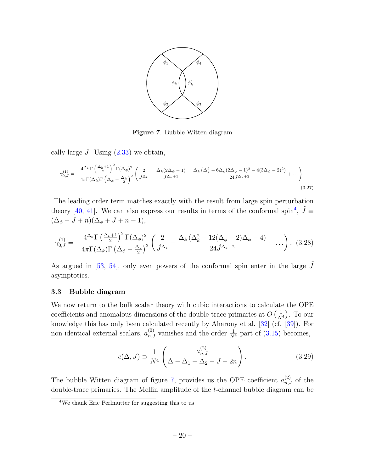

<span id="page-20-2"></span>Figure 7. Bubble Witten diagram

cally large J. Using  $(2.33)$  we obtain,

$$
\gamma_{0,J}^{(1)} = -\frac{4^{\Delta_k} \Gamma \left(\frac{\Delta_k + 1}{2}\right)^2 \Gamma (\Delta_\phi)^2}{4\pi \Gamma (\Delta_k) \Gamma \left(\Delta_\phi - \frac{\Delta_k}{2}\right)^2} \left(\frac{2}{J^{\Delta_k}} - \frac{\Delta_k (2\Delta_\phi - 1)}{J^{\Delta_k + 1}} - \frac{\Delta_k (\Delta_k^2 - 6\Delta_k (2\Delta_\phi - 1)^2 - 4(3\Delta_\phi - 2)^2)}{24J^{\Delta_k + 2}} + \ldots\right).
$$
\n(3.27)

The leading order term matches exactly with the result from large spin perturbation theory [\[40,](#page-33-1) [41\]](#page-33-2). We can also express our results in terms of the conformal spin<sup>[4](#page-20-1)</sup>,  $\tilde{J} \equiv$  $(\Delta_{\phi} + J + n)(\Delta_{\phi} + J + n - 1),$ 

$$
\gamma_{0,J}^{(1)} = -\frac{4^{\Delta_k} \Gamma \left(\frac{\Delta_k + 1}{2}\right)^2 \Gamma (\Delta_\phi)^2}{4\pi \Gamma (\Delta_k) \Gamma \left(\Delta_\phi - \frac{\Delta_k}{2}\right)^2} \left(\frac{2}{\tilde{J}^{\Delta_k}} - \frac{\Delta_k \left(\Delta_k^2 - 12(\Delta_\phi - 2)\Delta_\phi - 4\right)}{24 \tilde{J}^{\Delta_k + 2}} + \ldots\right).
$$
 (3.28)

As argued in  $[53, 54]$  $[53, 54]$ , only even powers of the conformal spin enter in the large J asymptotics.

#### <span id="page-20-0"></span>3.3 Bubble diagram

We now return to the bulk scalar theory with cubic interactions to calculate the OPE coefficients and anomalous dimensions of the double-trace primaries at  $O\left(\frac{1}{N}\right)$  $\frac{1}{N^4}$ ). To our knowledge this has only been calculated recently by Aharony et al. [\[32\]](#page-32-6) (cf. [\[39\]](#page-33-0)). For non identical external scalars,  $a_{n,J}^{(0)}$  vanishes and the order  $\frac{1}{N^4}$  part of [\(3.15\)](#page-16-2) becomes,

$$
c(\Delta, J) \supset \frac{1}{N^4} \left( \frac{a_{n,J}^{(2)}}{\Delta - \Delta_1 - \Delta_2 - J - 2n} \right). \tag{3.29}
$$

The bubble Witten diagram of figure [7,](#page-20-2) provides us the OPE coefficient  $a_{n,J}^{(2)}$  of the double-trace primaries. The Mellin amplitude of the t-channel bubble diagram can be

<span id="page-20-1"></span><sup>4</sup>We thank Eric Perlmutter for suggesting this to us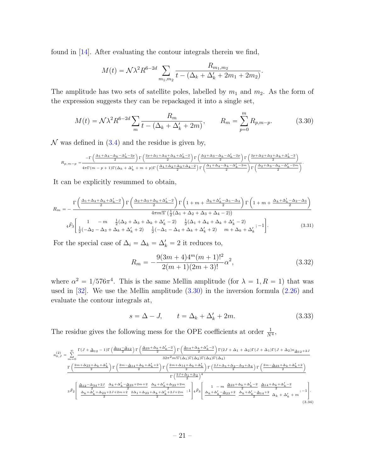found in [\[14\]](#page-31-7). After evaluating the contour integrals therein we find,

<span id="page-21-0"></span>
$$
M(t) = \mathcal{N}\lambda^{2} R^{6-2d} \sum_{m_1,m_2} \frac{R_{m_1,m_2}}{t - (\Delta_k + \Delta'_k + 2m_1 + 2m_2)}.
$$

The amplitude has two sets of satellite poles, labelled by  $m_1$  and  $m_2$ . As the form of the expression suggests they can be repackaged it into a single set,

$$
M(t) = \mathcal{N}\lambda^2 R^{6-2d} \sum_{m} \frac{R_m}{t - (\Delta_k + \Delta'_k + 2m)}, \qquad R_m = \sum_{p=0}^{m} R_{p,m-p}.
$$
 (3.30)

 $\mathcal N$  was defined in [\(3.4\)](#page-12-3) and the residue is given by,

$$
R_{p,m-p}=\frac{-\Gamma\left(\frac{\Delta_1+\Delta_4-\Delta_k-\Delta'_k-2p}{2}\right)\Gamma\left(\frac{2p+\Delta_1+\Delta_4+\Delta_k+\Delta'_k-2}{2}\right)\Gamma\left(\frac{\Delta_2+\Delta_3-\Delta_k-\Delta'_k-2p}{2}\right)\Gamma\left(\frac{2p+\Delta_2+\Delta_3+\Delta_k+\Delta'_k-2}{2}\right)}{4\pi\Gamma(m-p+1)\Gamma(\Delta_k+\Delta'_k+m+p)\Gamma\left(\frac{\Delta_1+\Delta_2+\Delta_3+\Delta_4-2}{2}\right)\Gamma\left(\frac{\Delta_1+\Delta_4-\Delta_k-\Delta'_k-2m}{2}\right)\Gamma\left(\frac{\Delta_2+\Delta_3-\Delta_k-\Delta'_k-2m}{2}\right)}.
$$

It can be explicitly resummed to obtain,

$$
R_m = -\frac{\Gamma\left(\frac{\Delta_1 + \Delta_4 + \Delta_k + \Delta'_k - 2}{2}\right) \Gamma\left(\frac{\Delta_2 + \Delta_3 + \Delta_k + \Delta'_k - 2}{2}\right) \Gamma\left(1 + m + \frac{\Delta_k + \Delta'_k - \Delta_1 - \Delta_4}{2}\right) \Gamma\left(1 + m + \frac{\Delta_k + \Delta'_k - \Delta_2 - \Delta_3}{2}\right)}{4\pi m! \Gamma\left(\frac{1}{2}(\Delta_1 + \Delta_2 + \Delta_3 + \Delta_4 - 2)\right)}
$$

$$
4\tilde{F}_3 \left[\begin{array}{ccc} 1 & -m & \frac{1}{2}(\Delta_2 + \Delta_3 + \Delta_k + \Delta'_k - 2) & \frac{1}{2}(\Delta_1 + \Delta_4 + \Delta_k + \Delta'_k - 2) \\ \frac{1}{2}(-\Delta_2 - \Delta_3 + \Delta_k + \Delta'_k + 2) & \frac{1}{2}(-\Delta_1 - \Delta_4 + \Delta_k + \Delta'_k + 2) & m + \Delta_k + \Delta'_k \end{array}; -1\right].
$$
(3.31)

For the special case of  $\Delta_i = \Delta_k = \Delta'_k = 2$  it reduces to,

$$
R_m = -\frac{9(3m+4)4^m(m+1)!^2}{2(m+1)(2m+3)!} \alpha^2,
$$
\n(3.32)

where  $\alpha^2 = 1/576\pi^4$ . This is the same Mellin amplitude (for  $\lambda = 1, R = 1$ ) that was used in  $[32]$ . We use the Mellin amplitude  $(3.30)$  in the inversion formula  $(2.26)$  and evaluate the contour integrals at,

<span id="page-21-1"></span>
$$
s = \Delta - J, \qquad t = \Delta_k + \Delta'_k + 2m. \tag{3.33}
$$

The residue gives the following mess for the OPE coefficients at order  $\frac{1}{N^4}$ ,

$$
\begin{split} a_{0,J}^{(2)}&=\sum\limits_{m=0}^{\infty}\frac{\Gamma(J+\Delta_{12}-1)\Gamma\left(\frac{\Delta_{34}-\Delta_{12}}{2}\right)\Gamma\left(\frac{\Delta_{23}+\Delta_{k}+\Delta'_{k}-2}{2}\right)\Gamma\left(\frac{\Delta_{14}+\Delta_{k}+\Delta'_{k}-2}{2}\right)\Gamma(2J+\Delta_{1}+\Delta_{2})\Gamma(J+\Delta_{1})\Gamma(J+\Delta_{2})\kappa_{\Delta_{12}+2J}}{32\pi^{2}m!\Gamma(\Delta_{1})\Gamma(\Delta_{2})\Gamma(\Delta_{3})\Gamma(\Delta_{4})}\\&\frac{\Gamma\left(\frac{2m+\Delta_{23}+\Delta_{k}+\Delta'_{k}}{2}\right)\Gamma\left(\frac{2m-\Delta_{14}+\Delta_{k}+\Delta'_{k}+2}{2}\right)\Gamma\left(\frac{2m+\Delta_{14}+\Delta_{k}+\Delta'_{k}}{2}\right)\Gamma\left(\frac{2J+\Delta_{1}+\Delta_{2}-\Delta_{3}+\Delta_{4}}{2}\right)\Gamma\left(\frac{2m-\Delta_{23}+\Delta_{k}+\Delta'_{k}+2}{2}\right)}{\Gamma\left(\frac{2J+\Delta_{1}+\Delta_{2}}{2}\right)^{4}}\\&\frac{\Delta_{12}-\Delta_{34}+2J}{2}\cdot\frac{\Delta_{k}+\Delta'_{k}-\Delta_{23}+2m+2}{2}\cdot\frac{\Delta_{k}+\Delta'_{k}+\Delta_{23}+2m}{2}\cdot\frac{\Delta_{k}+\Delta'_{k}+2J+2m}{2}}{\Gamma\left(\frac{\Delta_{12}+\Delta_{12}+\Delta_{23}+2J+\Delta_{23}+\Delta_{2}}{2}\right)^{4}}\cdot\frac{1}{4}\tilde{F}_{3}\left[\begin{array}{c}1-m\frac{\Delta_{23}+\Delta_{k}+\Delta'_{k}-2}{2}\frac{\Delta_{14}+\Delta_{k}+\Delta'_{k}-2}{2}\Delta_{k}+\Delta'_{k}+m\end{array};-1\right].\end{split} \tag{3.34}
$$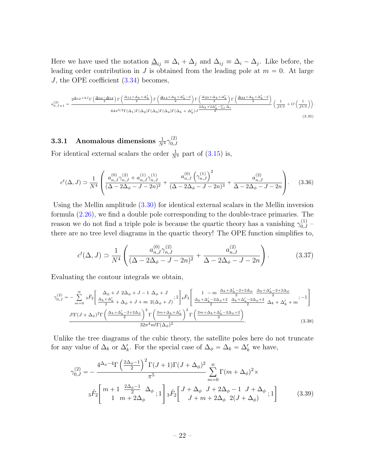Here we have used the notation  $\underline{\Delta}_{ij} \equiv \Delta_i + \Delta_j$  and  $\Delta_{ij} \equiv \Delta_i - \Delta_j$ . Like before, the leading order contribution in J is obtained from the leading pole at  $m = 0$ . At large J, the OPE coefficient  $(3.34)$  becomes,

$$
a_{0,J\gg1}^{(2)} = \frac{2^{\underline{\Delta}_{12}+2J}\Gamma\left(\frac{\underline{\Delta}_{34}-\underline{\Delta}_{12}}{2}\right)\Gamma\left(\frac{\Delta_{14}+\Delta_{k}+\Delta'_{k}}{2}\right)\Gamma\left(\frac{\underline{\Delta}_{14}+\Delta_{k}+\Delta'_{k}-2}{2}\right)\Gamma\left(\frac{\Delta_{23}+\Delta_{k}+\Delta'_{k}}{2}\right)\Gamma\left(\frac{\underline{\Delta}_{23}+\Delta_{k}+\Delta'_{k}-2}{2}\right)}{\delta 4\pi^{5/2}\Gamma(\Delta_{1})\Gamma(\Delta_{2})\Gamma(\Delta_{3})\Gamma(\Delta_{4})\Gamma(\Delta_{k}+\Delta'_{k})J} \frac{2\Delta_{k}+2\Delta'_{k}-\Sigma_{i}\,\Delta_{i}}{2} \left(\frac{1}{J^{3/2}}+O\left(\frac{1}{J^{5/2}}\right)\right)\n\tag{3.35}
$$

.

# <span id="page-22-0"></span>**3.3.1** Anomalous dimensions  $\frac{1}{N^4}\gamma_{0,J}^{(2)}$  $_{0,J}$ For identical external scalars the order  $\frac{1}{N^4}$  part of  $(3.15)$  is,

$$
c^{t}(\Delta, J) \supset \frac{1}{N^{4}} \left( \frac{a_{n,J}^{(0)} \gamma_{n,J}^{(2)} + a_{n,J}^{(1)} \gamma_{n,J}^{(1)}}{(\Delta - 2\Delta_{\phi} - J - 2n)^{2}} + \frac{a_{n,J}^{(0)} \left(\gamma_{n,J}^{(1)}\right)^{2}}{(\Delta - 2\Delta_{\phi} - J - 2n)^{3}} + \frac{a_{n,J}^{(2)}}{\Delta - 2\Delta_{\phi} - J - 2n} \right). \tag{3.36}
$$

Using the Mellin amplitude [\(3.30\)](#page-21-0) for identical external scalars in the Mellin inversion formula [\(2.26\)](#page-9-0), we find a double pole corresponding to the double-trace primaries. The reason we do not find a triple pole is because the quartic theory has a vanishing  $\gamma_{0,J}^{(1)}$  – there are no tree level diagrams in the quartic theory! The OPE function simplifies to,

$$
c^{t}(\Delta, J) \supset \frac{1}{N^4} \left( \frac{a_{n,J}^{(0)} \gamma_{n,J}^{(2)}}{(\Delta - 2\Delta_{\phi} - J - 2n)^2} + \frac{a_{n,J}^{(2)}}{\Delta - 2\Delta_{\phi} - J - 2n} \right). \tag{3.37}
$$

Evaluating the contour integrals we obtain,

$$
\gamma_{0,J}^{(2)} = -\sum_{m=0}^{\infty} 3\tilde{F}_2 \left[ \frac{\Delta_{\phi} + J \ 2\Delta_{\phi} + J - 1 \ \Delta_{\phi} + J}{2} ; 1 \right] 4\tilde{F}_3 \left[ \frac{1 - m \ \frac{\Delta_k + \Delta'_k - 2 + 2\Delta_{\phi}}{2} \ \frac{\Delta_k + \Delta'_k - 2 + 2\Delta_{\phi}}{2} }{2} \right. \left. \frac{\Delta_k + \Delta'_k - 2 + 2\Delta_{\phi}}{2} \ \frac{\Delta_k + \Delta'_k - 2 + 2\Delta_{\phi}}{2} ; 1 \right] 4\tilde{F}_3 \left[ \frac{\Delta_k + \Delta'_k - 2\Delta_{\phi} + 2 \ \Delta_k + \Delta'_k - 2\Delta_{\phi} + 2 \ \Delta_k + \Delta'_k - 2\Delta_{\phi}}{2} \ \Delta_k + \Delta'_k + m \right] - \frac{J! \Gamma (J + \Delta_{\phi})^2 \Gamma \left( \frac{\Delta_k + \Delta'_k - 2 + 2\Delta_{\phi}}{2} \right)^2 \Gamma \left( \frac{2m + \Delta_k + \Delta'_k}{2} \right)^2 \Gamma \left( \frac{2m + \Delta_k + \Delta'_k - 2\Delta_{\phi} + 2 \ \Delta_k + 2 \Delta_{\phi} + 2 \ \Delta_{\phi} + 2 \ \Delta_{\phi} + 2 \ \Delta_{\phi} + 2 \ \Delta_{\phi} + 2 \ \Delta_{\phi} + 2 \ \Delta_{\phi} + 2 \ \Delta_{\phi} + 2 \ \Delta_{\phi} + 2 \ \Delta_{\phi} + 2 \ \Delta_{\phi} + 2 \ \Delta_{\phi} + 2 \ \Delta_{\phi} + 2 \ \Delta_{\phi} + 2 \ \Delta_{\phi} + 2 \ \Delta_{\phi} + 2 \ \Delta_{\phi} + 2 \ \Delta_{\phi} + 2 \ \Delta_{\phi} + 2 \ \Delta_{\phi} + 2 \ \Delta_{\phi} + 2 \ \Delta_{\phi} + 2 \ \Delta_{\phi} + 2 \ \Delta_{\phi} + 2 \ \Delta_{\phi} + 2 \ \Delta_{\phi} + 2 \ \Delta_{\phi} + 2 \ \Delta_{\phi} + 2 \ \Delta_{\phi} + 2 \ \Delta_{\phi} + 2 \ \Delta_{\phi} + 2 \ \Delta_{\phi} + 2 \ \Delta_{\phi} + 2 \ \Delta_{\phi} +
$$

Unlike the tree diagrams of the cubic theory, the satellite poles here do not truncate for any value of  $\Delta_k$  or  $\Delta'_k$ . For the special case of  $\Delta_{\phi} = \Delta_k = \Delta'_k$  we have,

$$
\gamma_{0,J}^{(2)} = -\frac{4^{\Delta_{\phi}-4}\Gamma\left(\frac{2\Delta_{\phi}-1}{2}\right)^{2}\Gamma(J+1)\Gamma(J+\Delta_{\phi})^{2}}{\pi^{5}} \sum_{m=0}^{\infty} \Gamma(m+\Delta_{\phi})^{2} \times
$$
  

$$
{}_{3}\tilde{F}_{2}\left[m+1\frac{2\Delta_{\phi}-1}{1}\Delta_{\phi}\right]{}_{3}\tilde{F}_{2}\left[J+\Delta_{\phi}\right]J+2\Delta_{\phi}-1\right]J+\Delta_{\phi}\left[1\right]
$$
(3.39)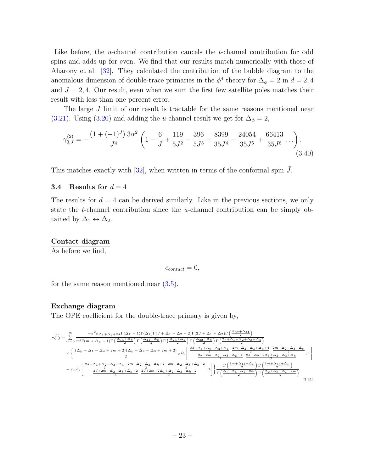Like before, the *u*-channel contribution cancels the *t*-channel contribution for odd spins and adds up for even. We find that our results match numerically with those of Aharony et al. [\[32\]](#page-32-6). They calculated the contribution of the bubble diagram to the anomalous dimension of double-trace primaries in the  $\phi^4$  theory for  $\Delta_{\phi} = 2$  in  $d = 2, 4$ and  $J = 2, 4$ . Our result, even when we sum the first few satellite poles matches their result with less than one percent error.

The large J limit of our result is tractable for the same reasons mentioned near [\(3.21\)](#page-18-1). Using [\(3.20\)](#page-18-2) and adding the u-channel result we get for  $\Delta_{\phi} = 2$ ,

$$
\gamma_{0,J}^{(2)} = -\frac{\left(1 + (-1)^J\right)3\alpha^2}{J^4} \left(1 - \frac{6}{J} + \frac{119}{5J^2} - \frac{396}{5J^3} + \frac{8399}{35J^4} - \frac{24054}{35J^5} + \frac{66413}{35J^6} \cdots\right). \tag{3.40}
$$

This matches exactly with  $[32]$ , when written in terms of the conformal spin  $\tilde{J}$ .

# <span id="page-23-0"></span>3.4 Results for  $d = 4$

The results for  $d = 4$  can be derived similarly. Like in the previous sections, we only state the t-channel contribution since the u-channel contribution can be simply obtained by  $\Delta_1 \leftrightarrow \Delta_2$ .

#### Contact diagram

As before we find,

$$
c_{contact} = 0,
$$

for the same reason mentioned near [\(3.5\)](#page-13-1).

#### Exchange diagram

The OPE coefficient for the double-trace primary is given by,

$$
\begin{split} a_{0,J}^{(1)} = \sum_{m=0}^{\infty} \frac{-\pi^2 \kappa_{\Delta_1+\Delta_2+2J} \Gamma(\Delta_k-1) \Gamma(\Delta_k) \Gamma(J+\Delta_1+\Delta_2-2) \Gamma(2J+\Delta_1+\Delta_2) \Gamma\left(\frac{\Delta_{32}+\Delta_{41}}{2}\right)}{2 \Gamma\left(\frac{\Delta_{44}+\Delta_k}{2}\right) \Gamma\left(\frac{\Delta_{34}+\Delta_k}{2}\right) \Gamma\left(\frac{\Delta_{32}+\Delta_k}{2}\right) \Gamma\left(\frac{2J+\Delta_1+\Delta_2+\Delta_3-\Delta_4}{2}\right)} \\ \times & \left\{ \frac{(\Delta_k-\Delta_1-\Delta_4+2m+2)(\Delta_k-\Delta_2-\Delta_3+2m+2)}{2} \ {}_3\tilde{F}_2 \Bigg[\frac{\frac{2J+\Delta_1+\Delta_2-\Delta_3+\Delta_k}{2} \ {}_4\tilde{F}_2 \Bigg[\frac{2J+\Delta_1+\Delta_2-\Delta_3+\Delta_k}{2} \nonumber \\ \left. \frac{2J+2m+\Delta_2-\Delta_3+\Delta_k+4}{2} \ \frac{2m-\Delta_2-\Delta_3+\Delta_k+4}{2J+2m+2\Delta_1+\Delta_2-\Delta_3+\Delta_k}\right.\nonumber \\ & \left. -2\, {}_3\tilde{F}_2 \Bigg[\frac{\frac{2J+\Delta_1+\Delta_2-\Delta_3+\Delta_k}{2} \ \frac{2m-\Delta_2-\Delta_3+\Delta_k+2}{2} \ \frac{2m+\Delta_2-\Delta_3+\Delta_k+2}{2} \ \frac{2m+\Delta_2-\Delta_3+\Delta_k-2}{2} \ \ ;1 \Bigg] \right\} \frac{\Gamma\left(\frac{2m+\Delta_{14}+\Delta_k}{2}\right) \Gamma\left(\frac{2m+\Delta_{23}+\Delta_k}{2}\right)}{2 \ \Gamma\left(\frac{\Delta_1+\Delta_4-\Delta_k-\Delta_m}{2}\right) \Gamma\left(\frac{\Delta_2+\Delta_3-\Delta_k-\Delta_m}{2}\right)} \ . \end{split} \eqno(3.41)
$$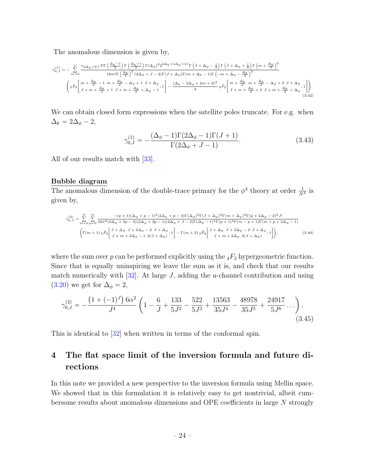The anomalous dimension is given by,

$$
\gamma_{0,J}^{(1)} = -\sum_{m=0}^{\infty} \frac{\kappa_{2\Delta_{\phi}}+2JJ!\Gamma\left(\frac{\Delta_{k}-1}{2}\right)\Gamma\left(\frac{\Delta_{k}+1}{2}\right)\Gamma(\Delta_{\phi})^{2}2^{\Delta_{k}+4\Delta_{\phi}+4J}\Gamma\left(J+\Delta_{\phi}-\frac{1}{2}\right)\Gamma\left(J+\Delta_{\phi}+\frac{1}{2}\right)\Gamma\left(m+\frac{\Delta_{k}}{2}\right)^{2}}{16m!\Gamma\left(\frac{\Delta_{k}}{2}\right)^{2}(2\Delta_{\phi}+J-2)\Gamma(J+\Delta_{\phi})\Gamma(m+\Delta_{k}-1)\Gamma\left(-m+\Delta_{\phi}-\frac{\Delta_{k}}{2}\right)^{2}}\n\left(3\tilde{F}_{2}\left[m+\frac{\Delta_{k}}{J} -1 \right. \left.m+\frac{\Delta_{k}}{2}-\Delta_{\phi}+1 \right. J+\Delta_{\phi}\right)_{,i} \left.\prod_{j=-\infty}^{\infty} \left(\frac{2\Delta_{k}+2\Delta_{\phi}+2\Delta_{\phi}+2\Delta_{\phi}+2\Delta_{\phi}+2\Delta_{\phi}+2\Delta_{\phi}+2\Delta_{\phi}\Delta_{\phi})\Gamma(m+\Delta_{k}-1)\Gamma\left(-m+\frac{\Delta_{k}}{2}-\Delta_{\phi}+2\Delta_{\phi}+2\Delta_{\phi}+2\Delta_{\phi}\Delta_{\phi})\Gamma(m+\Delta_{k}-1)\Gamma\left(-m+\frac{\Delta_{k}}{2}-\Delta_{\phi}+2\Delta_{\phi}+2\Delta_{\phi}\Delta_{\phi})\Gamma(m+\Delta_{k}-1)\Gamma\left(-m+\frac{\Delta_{k}}{2}-\Delta_{\phi}+2\Delta_{\phi}+2\Delta_{\phi}\Delta_{\phi})\Gamma(m+\Delta_{k}-1)\Gamma\left(-m+\frac{\Delta_{k}}{2}-\Delta_{\phi}+2\Delta_{\phi}+2\Delta_{\phi}\Delta_{\phi})\Gamma(m+\Delta_{k}-1)\Gamma\left(-m+\frac{\Delta_{k}}{2}-\Delta_{\phi}+2\Delta_{\phi}+2\Delta_{\phi}\Delta_{\phi})\Gamma(m+\Delta_{k}-1)\Gamma\left(-m+\frac{\Delta_{k}}{2}-\Delta_{\phi}+2\Delta_{\phi}+2\Delta_{\phi}\Delta_{\phi})\Gamma(m+\Delta_{k}-1)\Gamma\left(-m+\frac{\Delta_{k}}{2}-\Delta_{\phi}+2\Delta_{\phi}+2\Delta_{
$$

We can obtain closed form expressions when the satellite poles truncate. For e.g. when  $\Delta_k = 2\Delta_\phi - 2,$ 

<span id="page-24-1"></span>
$$
\gamma_{0,J}^{(1)} = -\frac{(\Delta_{\phi} - 1)\Gamma(2\Delta_{\phi} - 1)\Gamma(J+1)}{\Gamma(2\Delta_{\phi} + J - 1)}.\tag{3.43}
$$

All of our results match with [\[33\]](#page-32-7).

#### Bubble diagram

The anomalous dimension of the double-trace primary for the  $\phi^4$  theory at order  $\frac{1}{N^4}$  is given by,

$$
\gamma_{0,J}^{(2)} = \sum_{m=0}^{\infty} \sum_{p=0}^{m} \frac{-(p+1)(\Delta_{\phi}+p-1)^{2}(2\Delta_{\phi}+p-3)\Gamma(\Delta_{\phi})^{2}\Gamma(J+\Delta_{\phi})^{2}\Gamma(m+\Delta_{\phi})^{2}\Gamma(p+2\Delta_{\phi}-2)^{2}J!}{32\pi^{8}(2\Delta_{\phi}+2p-3)(2\Delta_{\phi}+2p-1)(2\Delta_{\phi}+J-2)\Gamma(\Delta_{\phi}-1)^{4}\Gamma(p+1)^{2}\Gamma(m-p+1)\Gamma(m+p+2\Delta_{\phi}-1)}
$$

$$
\left(\Gamma(m+1) \, 3\tilde{F}_{2}\left[\frac{J+\Delta_{\phi} \, J+2\Delta_{\phi}-2 \, J+\Delta_{\phi}}{J+m+2\Delta_{\phi}-1 \, 2(J+\Delta_{\phi})};1\right]-\Gamma(m+2) \, 3\tilde{F}_{2}\left[\frac{J+\Delta_{\phi} \, J+2\Delta_{\phi}-2 \, J+\Delta_{\phi}}{J+m+2\Delta_{\phi} \, 2(J+\Delta_{\phi})};1\right],\tag{3.44}
$$

where the sum over p can be performed explicitly using the  $_4F_3$  hypergeometric function. Since that is equally uninspiring we leave the sum as it is, and check that our results match numerically with  $[32]$ . At large J, adding the *u*-channel contribution and using [\(3.20\)](#page-18-2) we get for  $\Delta_{\phi} = 2$ ,

$$
\gamma_{0,J}^{(2)} = -\frac{\left(1 + (-1)^J\right)6\alpha^2}{J^4} \left(1 - \frac{6}{J} + \frac{133}{5J^2} - \frac{522}{5J^3} + \frac{13563}{35J^4} - \frac{48978}{35J^5} + \frac{24917}{5J^6} \dots\right). \tag{3.45}
$$

This is identical to [\[32\]](#page-32-6) when written in terms of the conformal spin.

# <span id="page-24-0"></span>4 The flat space limit of the inversion formula and future directions

In this note we provided a new perspective to the inversion formula using Mellin space. We showed that in this formulation it is relatively easy to get nontrivial, albeit cumbersome results about anomalous dimensions and OPE coefficients in large N strongly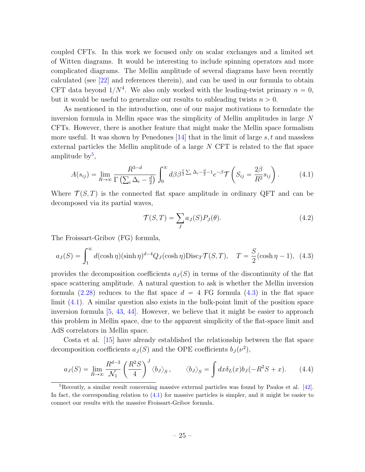coupled CFTs. In this work we focused only on scalar exchanges and a limited set of Witten diagrams. It would be interesting to include spinning operators and more complicated diagrams. The Mellin amplitude of several diagrams have been recently calculated (see [\[22\]](#page-32-0) and references therein), and can be used in our formula to obtain CFT data beyond  $1/N^4$ . We also only worked with the leading-twist primary  $n = 0$ , but it would be useful to generalize our results to subleading twists  $n > 0$ .

As mentioned in the introduction, one of our major motivations to formulate the inversion formula in Mellin space was the simplicity of Mellin amplitudes in large N CFTs. However, there is another feature that might make the Mellin space formalism more useful. It was shown by Penedones  $[14]$  that in the limit of large s, t and massless external particles the Mellin amplitude of a large N CFT is related to the flat space amplitude by $^5$  $^5$ ,

$$
A(s_{ij}) = \lim_{R \to \infty} \frac{R^{3-d}}{\Gamma\left(\sum_{i} \Delta_i - \frac{d}{2}\right)} \int_0^\infty d\beta \beta^{\frac{1}{2}\sum_i \Delta_i - \frac{d}{2} - 1} e^{-\beta} \mathcal{T}\left(S_{ij} = \frac{2\beta}{R^2} s_{ij}\right). \tag{4.1}
$$

Where  $\mathcal{T}(S, T)$  is the connected flat space amplitude in ordinary QFT and can be decomposed via its partial waves,

<span id="page-25-3"></span><span id="page-25-2"></span><span id="page-25-1"></span>
$$
\mathcal{T}(S,T) = \sum_{J} a_J(S) P_J(\theta). \tag{4.2}
$$

The Froissart-Gribov (FG) formula,

$$
a_J(S) = \int_1^{\infty} d(\cosh \eta) (\sinh \eta)^{d-4} Q_J(\cosh \eta) \text{Disc}_T \mathcal{T}(S, T), \quad T = \frac{S}{2} (\cosh \eta - 1), \tag{4.3}
$$

provides the decomposition coefficients  $a_J(S)$  in terms of the discontinuity of the flat space scattering amplitude. A natural question to ask is whether the Mellin inversion formula [\(2.28\)](#page-9-1) reduces to the flat space  $d = 4$  FG formula [\(4.3\)](#page-25-1) in the flat space limit [\(4.1\)](#page-25-2). A similar question also exists in the bulk-point limit of the position space inversion formula  $[5, 43, 44]$  $[5, 43, 44]$  $[5, 43, 44]$  $[5, 43, 44]$ . However, we believe that it might be easier to approach this problem in Mellin space, due to the apparent simplicity of the flat-space limit and AdS correlators in Mellin space.

Costa et al. [\[15\]](#page-31-9) have already established the relationship between the flat space decomposition coefficients  $a_J(S)$  and the OPE coefficients  $b_J(\nu^2)$ ,

$$
a_J(S) = \lim_{R \to \infty} \frac{R^{d-3}}{\mathcal{N}_1} \left( \frac{R^2 S}{4} \right)^J \langle b_J \rangle_S, \qquad \langle b_J \rangle_S = \int dx \delta_L(x) b_J(-R^2 S + x). \tag{4.4}
$$

<span id="page-25-0"></span> ${}^{5}$ Recently, a similar result concerning massive external particles was found by Paulos et al. [\[42\]](#page-33-3). In fact, the corresponding relation to  $(4.1)$  for massive particles is simpler, and it might be easier to connect our results with the massive Froissart-Gribov formula.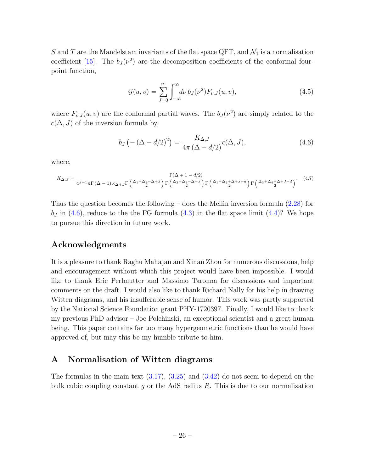S and T are the Mandelstam invariants of the flat space QFT, and  $\mathcal{N}_1$  is a normalisation coefficient [\[15\]](#page-31-9). The  $b_J(\nu^2)$  are the decomposition coefficients of the conformal fourpoint function,

<span id="page-26-1"></span>
$$
\mathcal{G}(u,v) = \sum_{J=0}^{\infty} \int_{-\infty}^{\infty} d\nu \, b_J(\nu^2) F_{\nu,J}(u,v), \tag{4.5}
$$

where  $F_{\nu, J}(u, v)$  are the conformal partial waves. The  $b_J(\nu^2)$  are simply related to the  $c(\Delta, J)$  of the inversion formula by,

$$
b_J(-(\Delta - d/2)^2) = \frac{K_{\Delta,J}}{4\pi (\Delta - d/2)}c(\Delta, J),
$$
\n(4.6)

where,

$$
K_{\Delta,J} = \frac{\Gamma(\Delta + 1 - d/2)}{4^{J-1}\pi\Gamma(\Delta - 1)\kappa_{\Delta+J}\Gamma\left(\frac{\Delta_1 + \Delta_2 - \Delta + J}{2}\right)\Gamma\left(\frac{\Delta_3 + \Delta_4 - \Delta + J}{2}\right)\Gamma\left(\frac{\Delta_1 + \Delta_2 + \Delta + J - d}{2}\right)\Gamma\left(\frac{\Delta_3 + \Delta_4 + \Delta + J - d}{2}\right)}.
$$
(4.7)

Thus the question becomes the following – does the Mellin inversion formula  $(2.28)$  for  $b_J$  in [\(4.6\)](#page-26-1), reduce to the the FG formula [\(4.3\)](#page-25-1) in the flat space limit [\(4.4\)](#page-25-3)? We hope to pursue this direction in future work.

# Acknowledgments

It is a pleasure to thank Raghu Mahajan and Xinan Zhou for numerous discussions, help and encouragement without which this project would have been impossible. I would like to thank Eric Perlmutter and Massimo Taronna for discussions and important comments on the draft. I would also like to thank Richard Nally for his help in drawing Witten diagrams, and his insufferable sense of humor. This work was partly supported by the National Science Foundation grant PHY-1720397. Finally, I would like to thank my previous PhD advisor – Joe Polchinski, an exceptional scientist and a great human being. This paper contains far too many hypergeometric functions than he would have approved of, but may this be my humble tribute to him.

# <span id="page-26-0"></span>A Normalisation of Witten diagrams

The formulas in the main text  $(3.17)$ ,  $(3.25)$  and  $(3.42)$  do not seem to depend on the bulk cubic coupling constant  $g$  or the AdS radius  $R$ . This is due to our normalization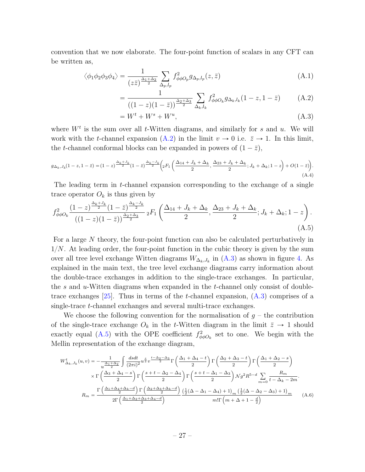convention that we now elaborate. The four-point function of scalars in any CFT can be written as,

$$
\langle \phi_1 \phi_2 \phi_3 \phi_4 \rangle = \frac{1}{(z\bar{z})^{\frac{\Delta_1 + \Delta_2}{2}}} \sum_{\Delta_p, l_p} f_{\phi \phi O_p}^2 g_{\Delta_p, l_p}(z, \bar{z}) \tag{A.1}
$$

<span id="page-27-0"></span>
$$
= \frac{1}{((1-z)(1-\bar{z}))^{\frac{\Delta_2+\Delta_3}{2}}}\sum_{\Delta_k,l_k} f_{\phi\phi O_k}^2 g_{\Delta_k,l_k}(1-z,1-\bar{z})
$$
 (A.2)

<span id="page-27-2"></span><span id="page-27-1"></span>
$$
=W^t + W^s + W^u,\tag{A.3}
$$

where  $W<sup>t</sup>$  is the sum over all t-Witten diagrams, and similarly for s and u. We will work with the t-channel expansion [\(A.2\)](#page-27-0) in the limit  $v \to 0$  i.e.  $\bar{z} \to 1$ . In this limit, the t-channel conformal blocks can be expanded in powers of  $(1 - \bar{z})$ ,

$$
g_{\Delta_k, J_k}(1-z, 1-\bar{z}) = (1-z)^{\frac{\Delta_k + J_k}{2}} (1-\bar{z})^{\frac{\Delta_k - J_k}{2}} \left( 2F_1 \left( \frac{\Delta_{14} + J_k + \Delta_k}{2}, \frac{\Delta_{23} + J_k + \Delta_k}{2}; J_k + \Delta_k; 1-z \right) + O(1-\bar{z}) \right). \tag{A.4}
$$

The leading term in t-channel expansion corresponding to the exchange of a single trace operator  $O_k$  is thus given by

$$
f_{\phi\phi O_k}^2 \frac{(1-z)^{\frac{\Delta_k+J_k}{2}}(1-\bar{z})^{\frac{\Delta_k-J_k}{2}}}{((1-z)(1-\bar{z}))^{\frac{\Delta_2+\Delta_3}{2}}} {}_2F_1\left(\frac{\Delta_{14}+J_k+\Delta_k}{2},\frac{\Delta_{23}+J_k+\Delta_k}{2};J_k+\Delta_k;1-z\right). \tag{A.5}
$$

For a large N theory, the four-point function can also be calculated perturbatively in  $1/N$ . At leading order, the four-point function in the cubic theory is given by the sum over all tree level exchange Witten diagrams  $W_{\Delta_k, J_k}$  in  $(A.3)$  as shown in figure [4.](#page-15-0) As explained in the main text, the tree level exchange diagrams carry information about the double-trace exchanges in addition to the single-trace exchanges. In particular, the s and  $u$ -Witten diagrams when expanded in the t-channel only consist of doubletrace exchanges  $[25]$ . Thus in terms of the *t*-channel expansion,  $(A.3)$  comprises of a single-trace t-channel exchanges and several multi-trace exchanges.

We choose the following convention for the normalisation of  $q$  – the contribution of the single-trace exchange  $O_k$  in the t-Witten diagram in the limit  $\bar{z} \to 1$  should exactly equal [\(A.5\)](#page-27-2) with the OPE coefficient  $f_{\phi\phi O_k}^2$  set to one. We begin with the Mellin representation of the exchange diagram,

<span id="page-27-3"></span>
$$
W_{\Delta_k,J_k}^t(u,v) = -\frac{1}{u^{\frac{\Delta_1+\Delta_2}{2}}} \int \frac{dsdt}{(2\pi i)^2} u^{\frac{s}{2}} v^{\frac{t-\Delta_2-\Delta_3}{2}} \Gamma\left(\frac{\Delta_1+\Delta_4-t}{2}\right) \Gamma\left(\frac{\Delta_2+\Delta_3-t}{2}\right) \Gamma\left(\frac{\Delta_1+\Delta_2-s}{2}\right)
$$

$$
\times \Gamma\left(\frac{\Delta_3+\Delta_4-s}{2}\right) \Gamma\left(\frac{s+t-\Delta_2-\Delta_4}{2}\right) \Gamma\left(\frac{s+t-\Delta_1-\Delta_3}{2}\right) \mathcal{N} g^2 R^{5-d} \sum_{m=0}^{\infty} \frac{R_m}{t-\Delta_k-2m}.
$$

$$
R_m = \frac{\Gamma\left(\frac{\Delta_1+\Delta_4+\Delta_k-d}{2}\right) \Gamma\left(\frac{\Delta_2+\Delta_3+\Delta_k-d}{2}\right)}{2\Gamma\left(\frac{\Delta_1+\Delta_2+\Delta_3+\Delta_4-d}{2}\right)} \frac{\left(\frac{1}{2}(\Delta-\Delta_1-\Delta_4)+1\right)_{m} \left(\frac{1}{2}(\Delta-\Delta_2-\Delta_3)+1\right)_{m}}{m!\Gamma\left(m+\Delta+1-\frac{d}{2}\right)} \tag{A.6}
$$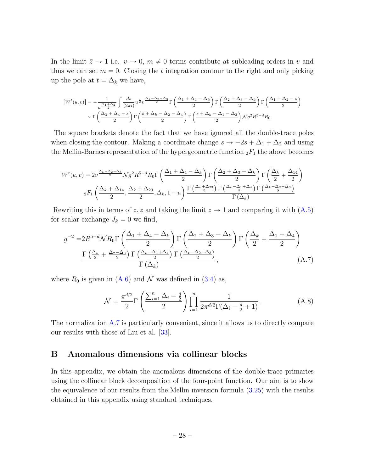In the limit  $\bar{z} \to 1$  i.e.  $v \to 0$ ,  $m \neq 0$  terms contribute at subleading orders in v and thus we can set  $m = 0$ . Closing the t integration contour to the right and only picking up the pole at  $t = \Delta_k$  we have,

$$
\left[W^{t}(u,v)\right] = -\frac{1}{u^{\frac{\Delta_{1}+\Delta_{2}}{2}}}\int \frac{ds}{(2\pi i)}u^{\frac{s}{2}}v^{\frac{\Delta_{k}-\Delta_{2}-\Delta_{3}}{2}}\Gamma\left(\frac{\Delta_{1}+\Delta_{4}-\Delta_{k}}{2}\right)\Gamma\left(\frac{\Delta_{2}+\Delta_{3}-\Delta_{k}}{2}\right)\Gamma\left(\frac{\Delta_{1}+\Delta_{2}-s}{2}\right)
$$

$$
\times\Gamma\left(\frac{\Delta_{3}+\Delta_{4}-s}{2}\right)\Gamma\left(\frac{s+\Delta_{k}-\Delta_{2}-\Delta_{4}}{2}\right)\Gamma\left(\frac{s+\Delta_{k}-\Delta_{1}-\Delta_{3}}{2}\right)\mathcal{N}g^{2}R^{5-d}R_{0}.
$$

The square brackets denote the fact that we have ignored all the double-trace poles when closing the contour. Making a coordinate change  $s \to -2s + \Delta_1 + \Delta_2$  and using the Mellin-Barnes representation of the hypergeometric function  ${}_2F_1$  the above becomes

$$
W^{t}(u,v) = 2v^{\frac{\Delta_{k}-\Delta_{2}-\Delta_{3}}{2}}\mathcal{N}g^{2}R^{5-d}R_{0}\Gamma\left(\frac{\Delta_{1}+\Delta_{4}-\Delta_{k}}{2}\right)\Gamma\left(\frac{\Delta_{2}+\Delta_{3}-\Delta_{k}}{2}\right)\Gamma\left(\frac{\Delta_{k}}{2}+\frac{\Delta_{14}}{2}\right)
$$

$$
{}_{2}F_{1}\left(\frac{\Delta_{k}+\Delta_{14}}{2},\frac{\Delta_{k}+\Delta_{23}}{2},\Delta_{k},1-u\right)\frac{\Gamma\left(\frac{\Delta_{k}+\Delta_{23}}{2}\right)\Gamma\left(\frac{\Delta_{k}-\Delta_{1}+\Delta_{4}}{2}\right)\Gamma\left(\frac{\Delta_{k}-\Delta_{2}+\Delta_{3}}{2}\right)}{\Gamma\left(\Delta_{k}\right)}
$$

Rewriting this in terms of z, z̄ and taking the limit  $\bar{z} \to 1$  and comparing it with [\(A.5\)](#page-27-2) for scalar exchange  $J_k = 0$  we find,

$$
g^{-2} = 2R^{5-d}NR_0\Gamma\left(\frac{\Delta_1 + \Delta_4 - \Delta_k}{2}\right)\Gamma\left(\frac{\Delta_2 + \Delta_3 - \Delta_k}{2}\right)\Gamma\left(\frac{\Delta_k}{2} + \frac{\Delta_1 - \Delta_4}{2}\right)
$$

$$
\frac{\Gamma\left(\frac{\Delta_k}{2} + \frac{\Delta_2 - \Delta_3}{2}\right)\Gamma\left(\frac{\Delta_k - \Delta_1 + \Delta_4}{2}\right)\Gamma\left(\frac{\Delta_k - \Delta_2 + \Delta_3}{2}\right)}{\Gamma\left(\Delta_k\right)},\tag{A.7}
$$

where  $R_0$  is given in  $(A.6)$  and  $\mathcal N$  was defined in  $(3.4)$  as,

<span id="page-28-1"></span>
$$
\mathcal{N} = \frac{\pi^{d/2}}{2} \Gamma \left( \frac{\sum_{i=1}^{n} \Delta_i - \frac{d}{2}}{2} \right) \prod_{i=1}^{n} \frac{1}{2\pi^{d/2} \Gamma(\Delta_i - \frac{d}{2} + 1)}.
$$
 (A.8)

The normalization [A.7](#page-28-1) is particularly convenient, since it allows us to directly compare our results with those of Liu et al. [\[33\]](#page-32-7).

# <span id="page-28-0"></span>B Anomalous dimensions via collinear blocks

In this appendix, we obtain the anomalous dimensions of the double-trace primaries using the collinear block decomposition of the four-point function. Our aim is to show the equivalence of our results from the Mellin inversion formula [\(3.25\)](#page-18-3) with the results obtained in this appendix using standard techniques.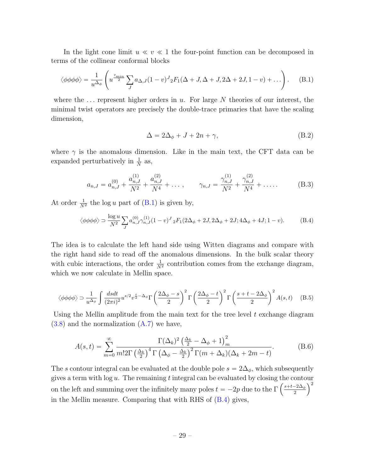In the light cone limit  $u \ll v \ll 1$  the four-point function can be decomposed in terms of the collinear conformal blocks

$$
\langle \phi \phi \phi \phi \rangle = \frac{1}{u^{\Delta_{\phi}}} \left( u^{\frac{\tau_{min}}{2}} \sum_{J} a_{\Delta,J} (1-v)^{J} {}_{2}F_{1}(\Delta+J,\Delta+J,2\Delta+2J,1-v) + \dots \right). \tag{B.1}
$$

where the  $\dots$  represent higher orders in u. For large N theories of our interest, the minimal twist operators are precisely the double-trace primaries that have the scaling dimension,

<span id="page-29-1"></span><span id="page-29-0"></span>
$$
\Delta = 2\Delta_{\phi} + J + 2n + \gamma, \tag{B.2}
$$

where  $\gamma$  is the anomalous dimension. Like in the main text, the CFT data can be expanded perturbatively in  $\frac{1}{N}$  as,

$$
a_{n,J} = a_{n,J}^{(0)} + \frac{a_{n,J}^{(1)}}{N^2} + \frac{a_{n,J}^{(2)}}{N^4} + \dots, \qquad \gamma_{n,J} = \frac{\gamma_{n,J}^{(1)}}{N^2} + \frac{\gamma_{n,J}^{(2)}}{N^4} + \dots
$$
 (B.3)

At order  $\frac{1}{N^2}$  the log u part of [\(B.1\)](#page-29-0) is given by,

$$
\langle \phi \phi \phi \phi \rangle = \frac{\log u}{N^2} \sum_{J} a_{n,J}^{(0)} \gamma_{n,J}^{(1)} (1 - v)^J {}_2F_1(2\Delta_{\phi} + 2J, 2\Delta_{\phi} + 2J; 4\Delta_{\phi} + 4J; 1 - v). \tag{B.4}
$$

The idea is to calculate the left hand side using Witten diagrams and compare with the right hand side to read off the anomalous dimensions. In the bulk scalar theory with cubic interactions, the order  $\frac{1}{N^2}$  contribution comes from the exchange diagram, which we now calculate in Mellin space.

$$
\langle \phi \phi \phi \phi \rangle \supset \frac{1}{u^{\Delta_{\phi}}} \int \frac{dsdt}{(2\pi i)^2} u^{s/2} v^{\frac{t}{2} - \Delta_{\phi}} \Gamma\left(\frac{2\Delta_{\phi} - s}{2}\right)^2 \Gamma\left(\frac{2\Delta_{\phi} - t}{2}\right)^2 \Gamma\left(\frac{s + t - 2\Delta_{\phi}}{2}\right)^2 A(s, t) \quad (B.5)
$$

Using the Mellin amplitude from the main text for the tree level  $t$  exchange diagram  $(3.8)$  and the normalization  $(A.7)$  we have,

$$
A(s,t) = \sum_{m=0}^{\infty} \frac{\Gamma(\Delta_k)^2 \left(\frac{\Delta_k}{2} - \Delta_{\phi} + 1\right)_m^2}{m! 2\Gamma \left(\frac{\Delta_k}{2}\right)^4 \Gamma \left(\Delta_{\phi} - \frac{\Delta_k}{2}\right)^2 \Gamma(m + \Delta_k)(\Delta_k + 2m - t)}.
$$
(B.6)

The s contour integral can be evaluated at the double pole  $s = 2\Delta_{\phi}$ , which subsequently gives a term with  $\log u$ . The remaining t integral can be evaluated by closing the contour gives a term with log u. The remaining t integral can be evaluated by closing the contor-<br>on the left and summing over the infinitely many poles  $t = -2p$  due to the  $\Gamma\left(\frac{s+t-2\Delta_\phi}{2}\right)$ 2 in the Mellin measure. Comparing that with RHS of [\(B.4\)](#page-29-1) gives,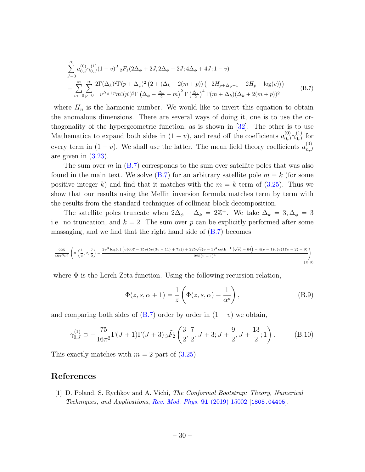<span id="page-30-1"></span>
$$
\sum_{J=0}^{\infty} a_{0,J}^{(0)} \gamma_{0,J}^{(1)} (1 - v)^{J} {}_{2}F_{1}(2\Delta_{\phi} + 2J, 2\Delta_{\phi} + 2J; 4\Delta_{\phi} + 4J; 1 - v) \n= \sum_{m=0}^{\infty} \sum_{p=0}^{\infty} \frac{2\Gamma(\Delta_{k})^{2} \Gamma(p + \Delta_{\phi})^{2} (2 + (\Delta_{k} + 2(m + p)) (-2H_{p + \Delta_{\phi} - 1} + 2H_{p} + \log(v)))}{v^{\Delta_{\phi} + p} m! (p!)^{2} \Gamma(\Delta_{\phi} - \frac{\Delta_{k}}{2} - m)^{2} \Gamma(\frac{\Delta_{k}}{2})^{4} \Gamma(m + \Delta_{k}) (\Delta_{k} + 2(m + p))^{2}}
$$
\n(B.7)

where  $H_n$  is the harmonic number. We would like to invert this equation to obtain the anomalous dimensions. There are several ways of doing it, one is to use the orthogonality of the hypergeometric function, as is shown in [\[32\]](#page-32-6). The other is to use Mathematica to expand both sides in  $(1 - v)$ , and read off the coefficients  $a_{0,J}^{(0)} \gamma_{0,J}^{(1)}$  for every term in  $(1 - v)$ . We shall use the latter. The mean field theory coefficients  $a_{n,\omega}^{(0)}$  $_{n,J}$ are given in  $(3.23)$ .

The sum over  $m$  in  $(B.7)$  corresponds to the sum over satellite poles that was also found in the main text. We solve  $(B.7)$  for an arbitrary satellite pole  $m = k$  (for some positive integer k) and find that it matches with the  $m = k$  term of [\(3.25\)](#page-18-3). Thus we show that our results using the Mellin inversion formula matches term by term with the results from the standard techniques of collinear block decomposition.

The satellite poles truncate when  $2\Delta_{\phi} - \Delta_k = 2\mathbb{Z}^+$ . We take  $\Delta_k = 3, \Delta_{\phi} = 3$ i.e. no truncation, and  $k = 2$ . The sum over p can be explicitly performed after some massaging, and we find that the right hand side of  $(B.7)$  becomes

$$
\frac{225}{48\pi^3 v^3} \left( \Phi\left(\frac{1}{v}, 2, \frac{7}{2}\right) + \frac{2v^3 \log(v) \left(v(607 - 15v(5v(3v - 11) + 73)) + 225\sqrt{v}(v - 1)^4 \coth^{-1}(\sqrt{v}) - 64\right) - 4(v - 1)v(v(17v - 2) + 9)}{225(v - 1)^4} \right)
$$
(B.8)

where  $\Phi$  is the Lerch Zeta function. Using the following recursion relation,

$$
\Phi(z, s, \alpha + 1) = \frac{1}{z} \left( \Phi(z, s, \alpha) - \frac{1}{\alpha^s} \right),
$$
\n(B.9)

and comparing both sides of  $(B.7)$  order by order in  $(1 - v)$  we obtain,

$$
\gamma_{0,J}^{(1)} \supset -\frac{75}{16\pi^2} \Gamma(J+1)\Gamma(J+3) \, {}_{3}\tilde{F}_2\left(\frac{3}{2}, \frac{7}{2}, J+3; J+\frac{9}{2}, J+\frac{13}{2}; 1\right). \tag{B.10}
$$

This exactly matches with  $m = 2$  part of  $(3.25)$ .

### References

<span id="page-30-0"></span>[1] D. Poland, S. Rychkov and A. Vichi, The Conformal Bootstrap: Theory, Numerical Techniques, and Applications, [Rev. Mod. Phys.](https://doi.org/10.1103/RevModPhys.91.015002) 91 (2019) 15002 [[1805.04405](https://arxiv.org/abs/1805.04405)].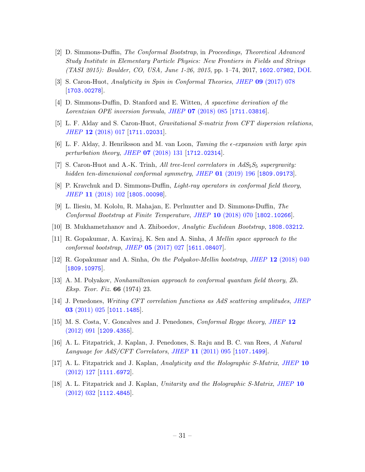- <span id="page-31-0"></span>[2] D. Simmons-Duffin, The Conformal Bootstrap, in Proceedings, Theoretical Advanced Study Institute in Elementary Particle Physics: New Frontiers in Fields and Strings (TASI 2015): Boulder, CO, USA, June 1-26, 2015, pp. 1–74, 2017, [1602.07982](https://arxiv.org/abs/1602.07982), [DOI.](https://doi.org/10.1142/9789813149441_0001)
- <span id="page-31-1"></span>[3] S. Caron-Huot, Analyticity in Spin in Conformal Theories, JHEP 09 [\(2017\) 078](https://doi.org/10.1007/JHEP09(2017)078) [[1703.00278](https://arxiv.org/abs/1703.00278)].
- <span id="page-31-2"></span>[4] D. Simmons-Duffin, D. Stanford and E. Witten, A spacetime derivation of the Lorentzian OPE inversion formula, JHEP 07 [\(2018\) 085](https://doi.org/10.1007/JHEP07(2018)085) [[1711.03816](https://arxiv.org/abs/1711.03816)].
- <span id="page-31-3"></span>[5] L. F. Alday and S. Caron-Huot, Gravitational S-matrix from CFT dispersion relations, JHEP 12 [\(2018\) 017](https://doi.org/10.1007/JHEP12(2018)017) [[1711.02031](https://arxiv.org/abs/1711.02031)].
- [6] L. F. Alday, J. Henriksson and M. van Loon, Taming the  $\epsilon$ -expansion with large spin perturbation theory, JHEP 07 [\(2018\) 131](https://doi.org/10.1007/JHEP07(2018)131) [[1712.02314](https://arxiv.org/abs/1712.02314)].
- [7] S. Caron-Huot and A.-K. Trinh, All tree-level correlators in  $AdS_5S_5$  supergravity: hidden ten-dimensional conformal symmetry, JHEP 01 [\(2019\) 196](https://doi.org/10.1007/JHEP01(2019)196) [[1809.09173](https://arxiv.org/abs/1809.09173)].
- [8] P. Kravchuk and D. Simmons-Duffin, Light-ray operators in conformal field theory, JHEP 11 [\(2018\) 102](https://doi.org/10.1007/JHEP11(2018)102) [[1805.00098](https://arxiv.org/abs/1805.00098)].
- [9] L. Iliesiu, M. Kololu, R. Mahajan, E. Perlmutter and D. Simmons-Duffin, The Conformal Bootstrap at Finite Temperature, JHEP 10 [\(2018\) 070](https://doi.org/10.1007/JHEP10(2018)070) [[1802.10266](https://arxiv.org/abs/1802.10266)].
- <span id="page-31-4"></span>[10] B. Mukhametzhanov and A. Zhiboedov, Analytic Euclidean Bootstrap, [1808.03212](https://arxiv.org/abs/1808.03212).
- <span id="page-31-5"></span>[11] R. Gopakumar, A. Kaviraj, K. Sen and A. Sinha, A Mellin space approach to the conformal bootstrap, JHEP  $05$  [\(2017\) 027](https://doi.org/10.1007/JHEP05(2017)027) [[1611.08407](https://arxiv.org/abs/1611.08407)].
- [12] R. Gopakumar and A. Sinha, On the Polyakov-Mellin bootstrap, JHEP 12 [\(2018\) 040](https://doi.org/10.1007/JHEP12(2018)040) [[1809.10975](https://arxiv.org/abs/1809.10975)].
- <span id="page-31-6"></span>[13] A. M. Polyakov, Nonhamiltonian approach to conformal quantum field theory, Zh. Eksp. Teor. Fiz. 66 (1974) 23.
- <span id="page-31-7"></span>[14] J. Penedones, Writing CFT correlation functions as AdS scattering amplitudes, [JHEP](https://doi.org/10.1007/JHEP03(2011)025) 03 [\(2011\) 025](https://doi.org/10.1007/JHEP03(2011)025) [[1011.1485](https://arxiv.org/abs/1011.1485)].
- <span id="page-31-9"></span>[15] M. S. Costa, V. Goncalves and J. Penedones, Conformal Regge theory, [JHEP](https://doi.org/10.1007/JHEP12(2012)091) 12 [\(2012\) 091](https://doi.org/10.1007/JHEP12(2012)091) [[1209.4355](https://arxiv.org/abs/1209.4355)].
- <span id="page-31-10"></span>[16] A. L. Fitzpatrick, J. Kaplan, J. Penedones, S. Raju and B. C. van Rees, A Natural Language for  $AdS/CFT$  Correlators, JHEP 11 [\(2011\) 095](https://doi.org/10.1007/JHEP11(2011)095) [[1107.1499](https://arxiv.org/abs/1107.1499)].
- <span id="page-31-8"></span>[17] A. L. Fitzpatrick and J. Kaplan, Analyticity and the Holographic S-Matrix, [JHEP](https://doi.org/10.1007/JHEP10(2012)127) 10 [\(2012\) 127](https://doi.org/10.1007/JHEP10(2012)127) [[1111.6972](https://arxiv.org/abs/1111.6972)].
- [18] A. L. Fitzpatrick and J. Kaplan, Unitarity and the Holographic S-Matrix, [JHEP](https://doi.org/10.1007/JHEP10(2012)032) 10  $(2012)$  032 [[1112.4845](https://arxiv.org/abs/1112.4845)].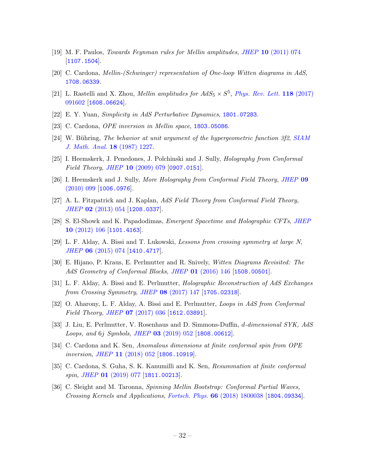- [19] M. F. Paulos, Towards Feynman rules for Mellin amplitudes, JHEP 10 [\(2011\) 074](https://doi.org/10.1007/JHEP10(2011)074) [[1107.1504](https://arxiv.org/abs/1107.1504)].
- <span id="page-32-9"></span>[20] C. Cardona, Mellin-(Schwinger) representation of One-loop Witten diagrams in AdS, [1708.06339](https://arxiv.org/abs/1708.06339).
- <span id="page-32-8"></span>[21] L. Rastelli and X. Zhou, *Mellin amplitudes for*  $AdS_5 \times S^5$ *, [Phys. Rev. Lett.](https://doi.org/10.1103/PhysRevLett.118.091602)* **118** (2017) [091602](https://doi.org/10.1103/PhysRevLett.118.091602) [[1608.06624](https://arxiv.org/abs/1608.06624)].
- <span id="page-32-0"></span>[22] E. Y. Yuan, Simplicity in AdS Perturbative Dynamics, [1801.07283](https://arxiv.org/abs/1801.07283).
- <span id="page-32-1"></span>[23] C. Cardona, *OPE inversion in Mellin space*, **[1803.05086](https://arxiv.org/abs/1803.05086)**.
- <span id="page-32-2"></span>[24] W. Bühring, The behavior at unit argument of the hypergeometric function 3f2, [SIAM](https://doi.org/10.1137/0518089) [J. Math. Anal.](https://doi.org/10.1137/0518089) 18 (1987) 1227.
- <span id="page-32-3"></span>[25] I. Heemskerk, J. Penedones, J. Polchinski and J. Sully, Holography from Conformal Field Theory, JHEP  $10$  [\(2009\) 079](https://doi.org/10.1088/1126-6708/2009/10/079) [[0907.0151](https://arxiv.org/abs/0907.0151)].
- <span id="page-32-4"></span>[26] I. Heemskerk and J. Sully, More Holography from Conformal Field Theory, [JHEP](https://doi.org/10.1007/JHEP09(2010)099) 09 [\(2010\) 099](https://doi.org/10.1007/JHEP09(2010)099) [[1006.0976](https://arxiv.org/abs/1006.0976)].
- [27] A. L. Fitzpatrick and J. Kaplan, AdS Field Theory from Conformal Field Theory, JHEP 02 [\(2013\) 054](https://doi.org/10.1007/JHEP02(2013)054) [[1208.0337](https://arxiv.org/abs/1208.0337)].
- [28] S. El-Showk and K. Papadodimas, Emergent Spacetime and Holographic CFTs, [JHEP](https://doi.org/10.1007/JHEP10(2012)106) 10 [\(2012\) 106](https://doi.org/10.1007/JHEP10(2012)106) [[1101.4163](https://arxiv.org/abs/1101.4163)].
- [29] L. F. Alday, A. Bissi and T. Lukowski, Lessons from crossing symmetry at large N, JHEP 06 [\(2015\) 074](https://doi.org/10.1007/JHEP06(2015)074) [[1410.4717](https://arxiv.org/abs/1410.4717)].
- [30] E. Hijano, P. Kraus, E. Perlmutter and R. Snively, Witten Diagrams Revisited: The AdS Geometry of Conformal Blocks, JHEP 01 [\(2016\) 146](https://doi.org/10.1007/JHEP01(2016)146) [[1508.00501](https://arxiv.org/abs/1508.00501)].
- <span id="page-32-5"></span>[31] L. F. Alday, A. Bissi and E. Perlmutter, Holographic Reconstruction of AdS Exchanges from Crossing Symmetry, JHEP 08 [\(2017\) 147](https://doi.org/10.1007/JHEP08(2017)147) [[1705.02318](https://arxiv.org/abs/1705.02318)].
- <span id="page-32-6"></span>[32] O. Aharony, L. F. Alday, A. Bissi and E. Perlmutter, Loops in AdS from Conformal Field Theory, JHEP **07** [\(2017\) 036](https://doi.org/10.1007/JHEP07(2017)036) [[1612.03891](https://arxiv.org/abs/1612.03891)].
- <span id="page-32-7"></span>[33] J. Liu, E. Perlmutter, V. Rosenhaus and D. Simmons-Duffin, d-dimensional SYK, AdS Loops, and 6j Symbols, JHEP 03 [\(2019\) 052](https://doi.org/10.1007/JHEP03(2019)052) [[1808.00612](https://arxiv.org/abs/1808.00612)].
- [34] C. Cardona and K. Sen, Anomalous dimensions at finite conformal spin from OPE inversion, JHEP 11 [\(2018\) 052](https://doi.org/10.1007/JHEP11(2018)052) [[1806.10919](https://arxiv.org/abs/1806.10919)].
- [35] C. Cardona, S. Guha, S. K. Kanumilli and K. Sen, Resummation at finite conformal spin, JHEP  $01$  [\(2019\) 077](https://doi.org/10.1007/JHEP01(2019)077) [[1811.00213](https://arxiv.org/abs/1811.00213)].
- [36] C. Sleight and M. Taronna, Spinning Mellin Bootstrap: Conformal Partial Waves, Crossing Kernels and Applications, Fortsch. Phys. 66 [\(2018\) 1800038](https://doi.org/10.1002/prop.201800038) [[1804.09334](https://arxiv.org/abs/1804.09334)].